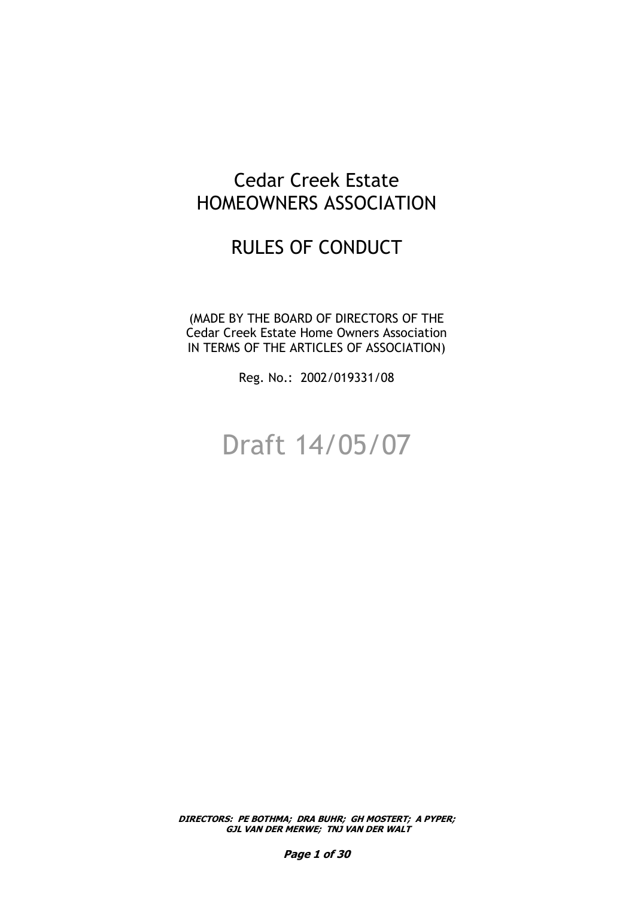# Cedar Creek Estate HOMEOWNERS ASSOCIATION

# RULES OF CONDUCT

(MADE BY THE BOARD OF DIRECTORS OF THE Cedar Creek Estate Home Owners Association IN TERMS OF THE ARTICLES OF ASSOCIATION)

Reg. No.: 2002/019331/08

# Draft 14/05/07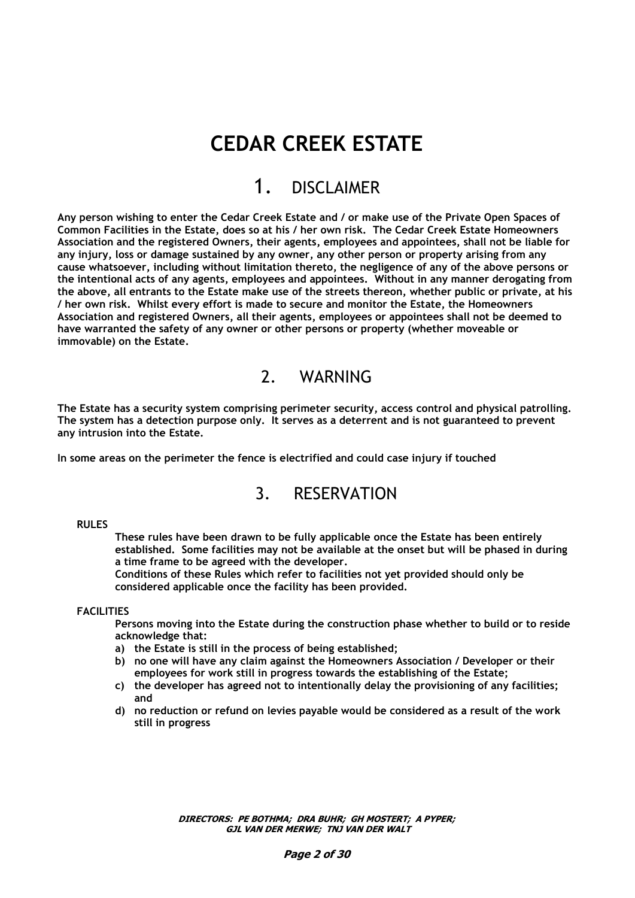# **CEDAR CREEK ESTATE**

# 1. DISCLAIMER

**Any person wishing to enter the Cedar Creek Estate and / or make use of the Private Open Spaces of Common Facilities in the Estate, does so at his / her own risk. The Cedar Creek Estate Homeowners Association and the registered Owners, their agents, employees and appointees, shall not be liable for any injury, loss or damage sustained by any owner, any other person or property arising from any cause whatsoever, including without limitation thereto, the negligence of any of the above persons or the intentional acts of any agents, employees and appointees. Without in any manner derogating from the above, all entrants to the Estate make use of the streets thereon, whether public or private, at his / her own risk. Whilst every effort is made to secure and monitor the Estate, the Homeowners Association and registered Owners, all their agents, employees or appointees shall not be deemed to have warranted the safety of any owner or other persons or property (whether moveable or immovable) on the Estate.**

# 2. WARNING

**The Estate has a security system comprising perimeter security, access control and physical patrolling. The system has a detection purpose only. It serves as a deterrent and is not guaranteed to prevent any intrusion into the Estate.**

**In some areas on the perimeter the fence is electrified and could case injury if touched**

# 3. RESERVATION

#### **RULES**

**These rules have been drawn to be fully applicable once the Estate has been entirely established. Some facilities may not be available at the onset but will be phased in during a time frame to be agreed with the developer.**

**Conditions of these Rules which refer to facilities not yet provided should only be considered applicable once the facility has been provided.**

#### **FACILITIES**

**Persons moving into the Estate during the construction phase whether to build or to reside acknowledge that:**

- **a) the Estate is still in the process of being established;**
- **b) no one will have any claim against the Homeowners Association / Developer or their employees for work still in progress towards the establishing of the Estate;**
- **c) the developer has agreed not to intentionally delay the provisioning of any facilities; and**
- **d) no reduction or refund on levies payable would be considered as a result of the work still in progress**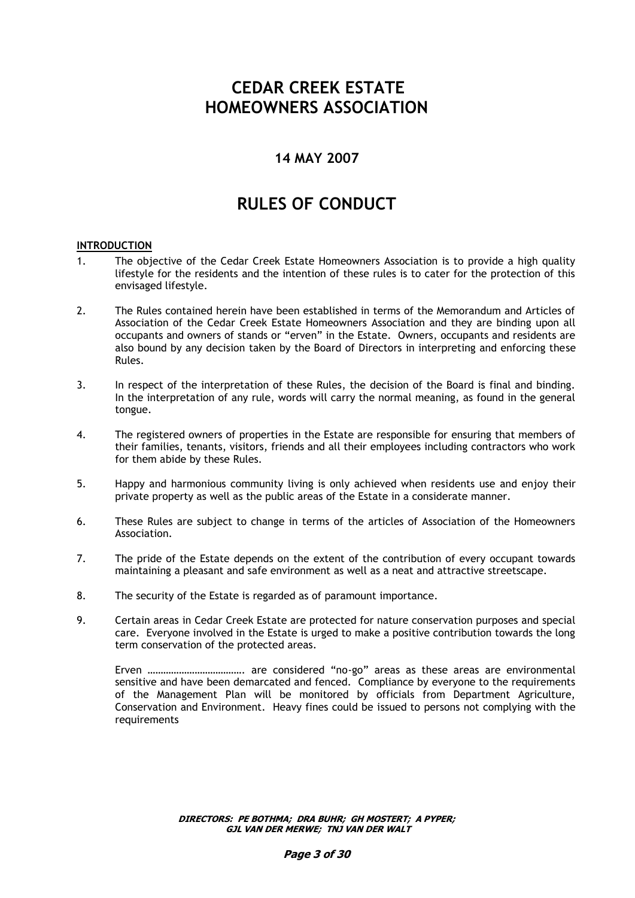# **CEDAR CREEK ESTATE HOMEOWNERS ASSOCIATION**

# **14 MAY 2007**

# **RULES OF CONDUCT**

### **INTRODUCTION**

- 1. The objective of the Cedar Creek Estate Homeowners Association is to provide a high quality lifestyle for the residents and the intention of these rules is to cater for the protection of this envisaged lifestyle.
- 2. The Rules contained herein have been established in terms of the Memorandum and Articles of Association of the Cedar Creek Estate Homeowners Association and they are binding upon all occupants and owners of stands or "erven" in the Estate. Owners, occupants and residents are also bound by any decision taken by the Board of Directors in interpreting and enforcing these Rules.
- 3. In respect of the interpretation of these Rules, the decision of the Board is final and binding. In the interpretation of any rule, words will carry the normal meaning, as found in the general tongue.
- 4. The registered owners of properties in the Estate are responsible for ensuring that members of their families, tenants, visitors, friends and all their employees including contractors who work for them abide by these Rules.
- 5. Happy and harmonious community living is only achieved when residents use and enjoy their private property as well as the public areas of the Estate in a considerate manner.
- 6. These Rules are subject to change in terms of the articles of Association of the Homeowners Association.
- 7. The pride of the Estate depends on the extent of the contribution of every occupant towards maintaining a pleasant and safe environment as well as a neat and attractive streetscape.
- 8. The security of the Estate is regarded as of paramount importance.
- 9. Certain areas in Cedar Creek Estate are protected for nature conservation purposes and special care. Everyone involved in the Estate is urged to make a positive contribution towards the long term conservation of the protected areas.

Erven ………………………………. are considered "no-go" areas as these areas are environmental sensitive and have been demarcated and fenced. Compliance by everyone to the requirements of the Management Plan will be monitored by officials from Department Agriculture, Conservation and Environment. Heavy fines could be issued to persons not complying with the requirements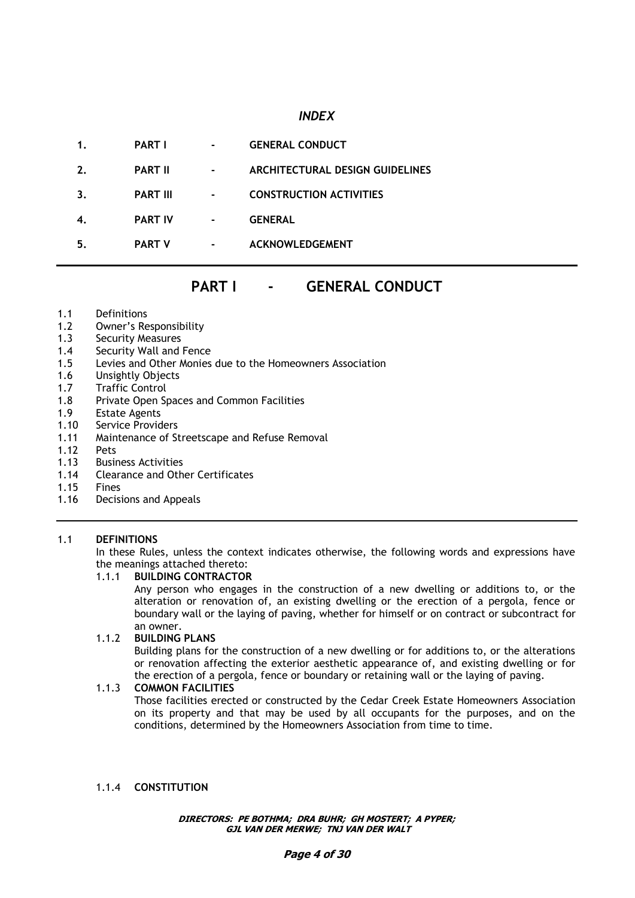# *INDEX*

| 1. | <b>PART I</b>   | ۰ | <b>GENERAL CONDUCT</b>          |
|----|-----------------|---|---------------------------------|
| 2. | <b>PART II</b>  |   | ARCHITECTURAL DESIGN GUIDELINES |
| 3. | <b>PART III</b> | ۰ | <b>CONSTRUCTION ACTIVITIES</b>  |
|    | <b>PART IV</b>  |   | <b>GENERAL</b>                  |
| 5. | <b>PART V</b>   | ۰ | <b>ACKNOWLEDGEMENT</b>          |

# **PART I - GENERAL CONDUCT**

- 1.1 Definitions
- 1.2 Owner's Responsibility
- 1.3 Security Measures
- 1.4 Security Wall and Fence
- 1.5 Levies and Other Monies due to the Homeowners Association
- 1.6 Unsightly Objects
- 1.7 Traffic Control
- 1.8 Private Open Spaces and Common Facilities
- 1.9 Estate Agents
- 1.10 Service Providers
- 1.11 Maintenance of Streetscape and Refuse Removal
- 1.12 Pets
- 1.13 Business Activities
- 1.14 Clearance and Other Certificates
- 1.15 Fines
- 1.16 Decisions and Appeals

# 1.1 **DEFINITIONS**

In these Rules, unless the context indicates otherwise, the following words and expressions have the meanings attached thereto:

# 1.1.1 **BUILDING CONTRACTOR**

Any person who engages in the construction of a new dwelling or additions to, or the alteration or renovation of, an existing dwelling or the erection of a pergola, fence or boundary wall or the laying of paving, whether for himself or on contract or subcontract for an owner.

# 1.1.2 **BUILDING PLANS**

Building plans for the construction of a new dwelling or for additions to, or the alterations or renovation affecting the exterior aesthetic appearance of, and existing dwelling or for the erection of a pergola, fence or boundary or retaining wall or the laying of paving.

# 1.1.3 **COMMON FACILITIES**

Those facilities erected or constructed by the Cedar Creek Estate Homeowners Association on its property and that may be used by all occupants for the purposes, and on the conditions, determined by the Homeowners Association from time to time.

#### 1.1.4 **CONSTITUTION**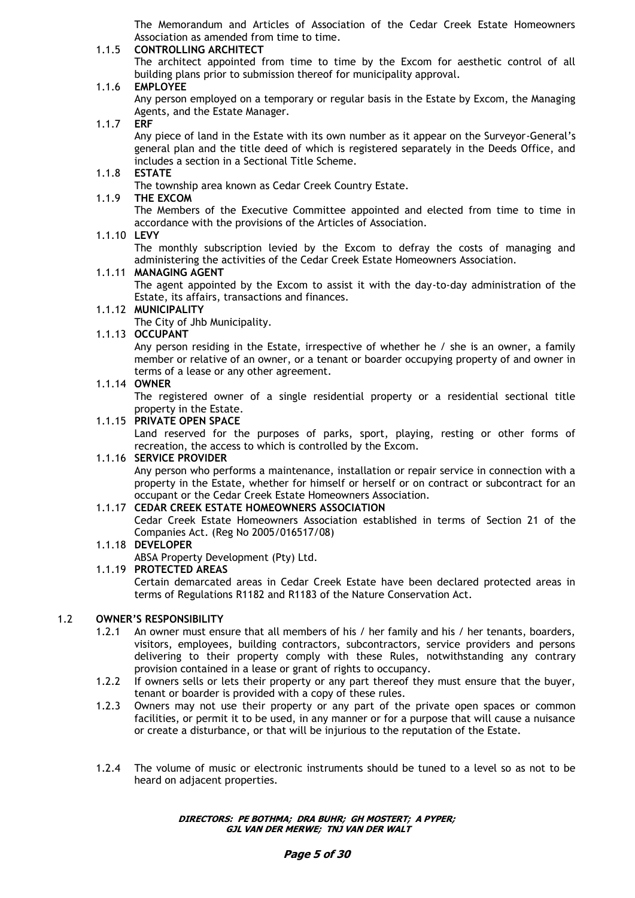The Memorandum and Articles of Association of the Cedar Creek Estate Homeowners Association as amended from time to time.

# 1.1.5 **CONTROLLING ARCHITECT**

The architect appointed from time to time by the Excom for aesthetic control of all building plans prior to submission thereof for municipality approval.

# 1.1.6 **EMPLOYEE**

Any person employed on a temporary or regular basis in the Estate by Excom, the Managing Agents, and the Estate Manager.

#### 1.1.7 **ERF**

Any piece of land in the Estate with its own number as it appear on the Surveyor-General's general plan and the title deed of which is registered separately in the Deeds Office, and includes a section in a Sectional Title Scheme.

#### 1.1.8 **ESTATE**

The township area known as Cedar Creek Country Estate.

### 1.1.9 **THE EXCOM**

The Members of the Executive Committee appointed and elected from time to time in accordance with the provisions of the Articles of Association.

#### 1.1.10 **LEVY**

The monthly subscription levied by the Excom to defray the costs of managing and administering the activities of the Cedar Creek Estate Homeowners Association.

#### 1.1.11 **MANAGING AGENT**

The agent appointed by the Excom to assist it with the day-to-day administration of the Estate, its affairs, transactions and finances.

# 1.1.12 **MUNICIPALITY**

The City of Jhb Municipality.

#### 1.1.13 **OCCUPANT**

Any person residing in the Estate, irrespective of whether he / she is an owner, a family member or relative of an owner, or a tenant or boarder occupying property of and owner in terms of a lease or any other agreement.

#### 1.1.14 **OWNER**

The registered owner of a single residential property or a residential sectional title property in the Estate.

#### 1.1.15 **PRIVATE OPEN SPACE**

Land reserved for the purposes of parks, sport, playing, resting or other forms of recreation, the access to which is controlled by the Excom.

#### 1.1.16 **SERVICE PROVIDER**

Any person who performs a maintenance, installation or repair service in connection with a property in the Estate, whether for himself or herself or on contract or subcontract for an occupant or the Cedar Creek Estate Homeowners Association.

#### 1.1.17 **CEDAR CREEK ESTATE HOMEOWNERS ASSOCIATION**

Cedar Creek Estate Homeowners Association established in terms of Section 21 of the Companies Act. (Reg No 2005/016517/08)

#### 1.1.18 **DEVELOPER**

ABSA Property Development (Pty) Ltd.

#### 1.1.19 **PROTECTED AREAS**

Certain demarcated areas in Cedar Creek Estate have been declared protected areas in terms of Regulations R1182 and R1183 of the Nature Conservation Act.

#### 1.2 **OWNER"S RESPONSIBILITY**

- 1.2.1 An owner must ensure that all members of his / her family and his / her tenants, boarders, visitors, employees, building contractors, subcontractors, service providers and persons delivering to their property comply with these Rules, notwithstanding any contrary provision contained in a lease or grant of rights to occupancy.
- 1.2.2 If owners sells or lets their property or any part thereof they must ensure that the buyer, tenant or boarder is provided with a copy of these rules.
- 1.2.3 Owners may not use their property or any part of the private open spaces or common facilities, or permit it to be used, in any manner or for a purpose that will cause a nuisance or create a disturbance, or that will be injurious to the reputation of the Estate.
- 1.2.4 The volume of music or electronic instruments should be tuned to a level so as not to be heard on adjacent properties.

#### **DIRECTORS: PE BOTHMA; DRA BUHR; GH MOSTERT; A PYPER; GJL VAN DER MERWE; TNJ VAN DER WALT**

#### **Page 5 of 30**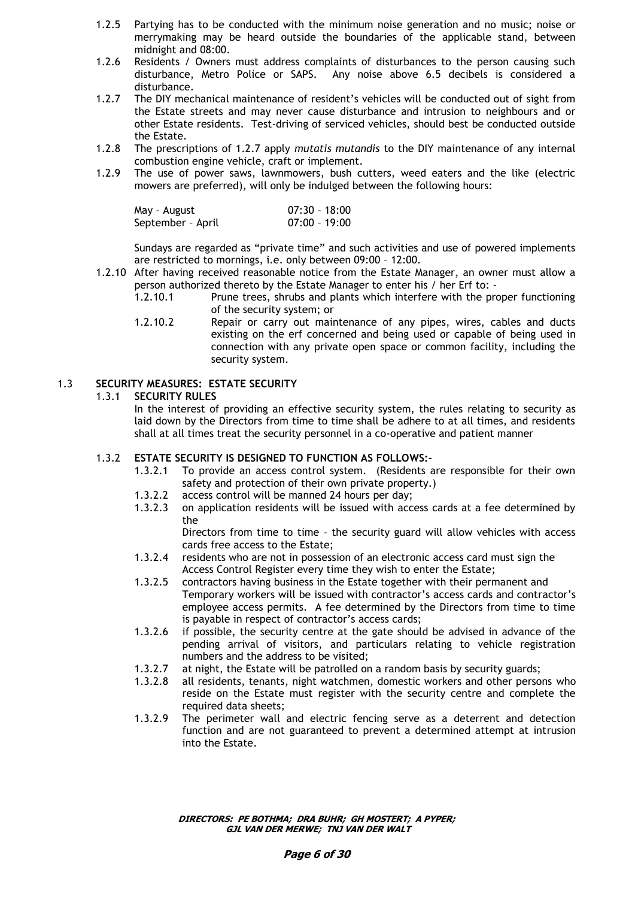- 1.2.5 Partying has to be conducted with the minimum noise generation and no music; noise or merrymaking may be heard outside the boundaries of the applicable stand, between midnight and 08:00.
- 1.2.6 Residents / Owners must address complaints of disturbances to the person causing such disturbance, Metro Police or SAPS. Any noise above 6.5 decibels is considered a disturbance.
- 1.2.7 The DIY mechanical maintenance of resident's vehicles will be conducted out of sight from the Estate streets and may never cause disturbance and intrusion to neighbours and or other Estate residents. Test-driving of serviced vehicles, should best be conducted outside the Estate.
- 1.2.8 The prescriptions of 1.2.7 apply *mutatis mutandis* to the DIY maintenance of any internal combustion engine vehicle, craft or implement.
- 1.2.9 The use of power saws, lawnmowers, bush cutters, weed eaters and the like (electric mowers are preferred), will only be indulged between the following hours:

| May - August      | $07:30 - 18:00$ |
|-------------------|-----------------|
| September - April | $07:00 - 19:00$ |

Sundays are regarded as "private time" and such activities and use of powered implements are restricted to mornings, i.e. only between 09:00 – 12:00.

- 1.2.10 After having received reasonable notice from the Estate Manager, an owner must allow a person authorized thereto by the Estate Manager to enter his / her Erf to: -
	- 1.2.10.1 Prune trees, shrubs and plants which interfere with the proper functioning of the security system; or
	- 1.2.10.2 Repair or carry out maintenance of any pipes, wires, cables and ducts existing on the erf concerned and being used or capable of being used in connection with any private open space or common facility, including the security system.

# 1.3 **SECURITY MEASURES: ESTATE SECURITY**

# 1.3.1 **SECURITY RULES**

In the interest of providing an effective security system, the rules relating to security as laid down by the Directors from time to time shall be adhere to at all times, and residents shall at all times treat the security personnel in a co-operative and patient manner

# 1.3.2 **ESTATE SECURITY IS DESIGNED TO FUNCTION AS FOLLOWS:-**

- 1.3.2.1 To provide an access control system. (Residents are responsible for their own safety and protection of their own private property.)
- 1.3.2.2 access control will be manned 24 hours per day;
- 1.3.2.3 on application residents will be issued with access cards at a fee determined by the

Directors from time to time – the security guard will allow vehicles with access cards free access to the Estate;

- 1.3.2.4 residents who are not in possession of an electronic access card must sign the Access Control Register every time they wish to enter the Estate;
- 1.3.2.5 contractors having business in the Estate together with their permanent and Temporary workers will be issued with contractor's access cards and contractor's employee access permits. A fee determined by the Directors from time to time is payable in respect of contractor's access cards;
- 1.3.2.6 if possible, the security centre at the gate should be advised in advance of the pending arrival of visitors, and particulars relating to vehicle registration numbers and the address to be visited;
- 1.3.2.7 at night, the Estate will be patrolled on a random basis by security guards;
- 1.3.2.8 all residents, tenants, night watchmen, domestic workers and other persons who reside on the Estate must register with the security centre and complete the required data sheets;
- 1.3.2.9 The perimeter wall and electric fencing serve as a deterrent and detection function and are not guaranteed to prevent a determined attempt at intrusion into the Estate.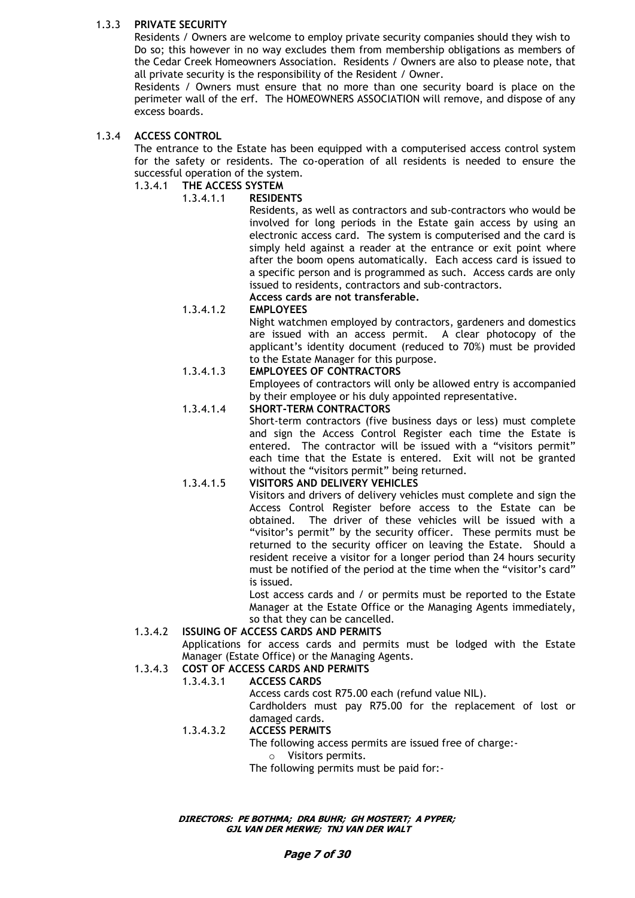# 1.3.3 **PRIVATE SECURITY**

Residents / Owners are welcome to employ private security companies should they wish to Do so; this however in no way excludes them from membership obligations as members of the Cedar Creek Homeowners Association. Residents / Owners are also to please note, that all private security is the responsibility of the Resident / Owner.

Residents / Owners must ensure that no more than one security board is place on the perimeter wall of the erf. The HOMEOWNERS ASSOCIATION will remove, and dispose of any excess boards.

# 1.3.4 **ACCESS CONTROL**

The entrance to the Estate has been equipped with a computerised access control system for the safety or residents. The co-operation of all residents is needed to ensure the successful operation of the system.

- 1.3.4.1 **THE ACCESS SYSTEM**
	- 1.3.4.1.1 **RESIDENTS**

Residents, as well as contractors and sub-contractors who would be involved for long periods in the Estate gain access by using an electronic access card. The system is computerised and the card is simply held against a reader at the entrance or exit point where after the boom opens automatically. Each access card is issued to a specific person and is programmed as such. Access cards are only issued to residents, contractors and sub-contractors. **Access cards are not transferable.**

# 1.3.4.1.2 **EMPLOYEES**

Night watchmen employed by contractors, gardeners and domestics are issued with an access permit. A clear photocopy of the applicant's identity document (reduced to 70%) must be provided to the Estate Manager for this purpose.

# 1.3.4.1.3 **EMPLOYEES OF CONTRACTORS**

Employees of contractors will only be allowed entry is accompanied by their employee or his duly appointed representative.

### 1.3.4.1.4 **SHORT-TERM CONTRACTORS**

Short-term contractors (five business days or less) must complete and sign the Access Control Register each time the Estate is entered. The contractor will be issued with a "visitors permit" each time that the Estate is entered. Exit will not be granted without the "visitors permit" being returned.

# 1.3.4.1.5 **VISITORS AND DELIVERY VEHICLES**

Visitors and drivers of delivery vehicles must complete and sign the Access Control Register before access to the Estate can be obtained. The driver of these vehicles will be issued with a "visitor's permit" by the security officer. These permits must be returned to the security officer on leaving the Estate. Should a resident receive a visitor for a longer period than 24 hours security must be notified of the period at the time when the "visitor's card" is issued.

Lost access cards and / or permits must be reported to the Estate Manager at the Estate Office or the Managing Agents immediately, so that they can be cancelled.

# 1.3.4.2 **ISSUING OF ACCESS CARDS AND PERMITS**

Applications for access cards and permits must be lodged with the Estate Manager (Estate Office) or the Managing Agents.

# 1.3.4.3 **COST OF ACCESS CARDS AND PERMITS**

# 1.3.4.3.1 **ACCESS CARDS**

Access cards cost R75.00 each (refund value NIL).

Cardholders must pay R75.00 for the replacement of lost or damaged cards.

#### 1.3.4.3.2 **ACCESS PERMITS**

The following access permits are issued free of charge:-

o Visitors permits.

The following permits must be paid for:-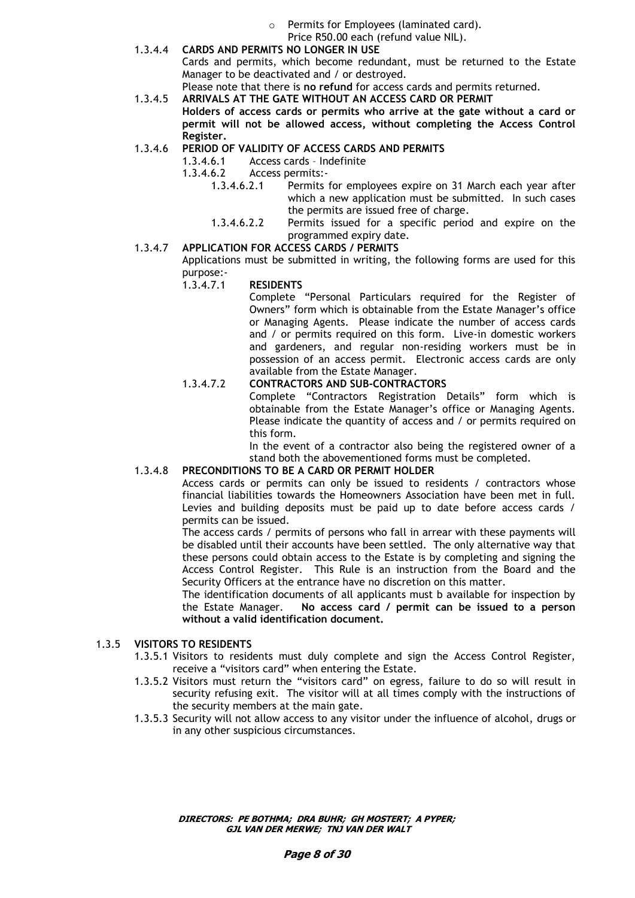- o Permits for Employees (laminated card).
- Price R50.00 each (refund value NIL).
- 1.3.4.4 **CARDS AND PERMITS NO LONGER IN USE** Cards and permits, which become redundant, must be returned to the Estate Manager to be deactivated and / or destroyed.

Please note that there is **no refund** for access cards and permits returned.

1.3.4.5 **ARRIVALS AT THE GATE WITHOUT AN ACCESS CARD OR PERMIT**

**Holders of access cards or permits who arrive at the gate without a card or permit will not be allowed access, without completing the Access Control Register.**

# 1.3.4.6 **PERIOD OF VALIDITY OF ACCESS CARDS AND PERMITS**

- 1.3.4.6.1 Access cards Indefinite
	- 1.3.4.6.2 Access permits:-
		- 1.3.4.6.2.1 Permits for employees expire on 31 March each year after which a new application must be submitted. In such cases the permits are issued free of charge.
		- 1.3.4.6.2.2 Permits issued for a specific period and expire on the programmed expiry date.

#### 1.3.4.7 **APPLICATION FOR ACCESS CARDS / PERMITS**

Applications must be submitted in writing, the following forms are used for this purpose:-

### 1.3.4.7.1 **RESIDENTS**

Complete "Personal Particulars required for the Register of Owners" form which is obtainable from the Estate Manager's office or Managing Agents. Please indicate the number of access cards and / or permits required on this form. Live-in domestic workers and gardeners, and regular non-residing workers must be in possession of an access permit. Electronic access cards are only available from the Estate Manager.

### 1.3.4.7.2 **CONTRACTORS AND SUB-CONTRACTORS**

Complete "Contractors Registration Details" form which is obtainable from the Estate Manager's office or Managing Agents. Please indicate the quantity of access and / or permits required on this form.

In the event of a contractor also being the registered owner of a stand both the abovementioned forms must be completed.

# 1.3.4.8 **PRECONDITIONS TO BE A CARD OR PERMIT HOLDER**

Access cards or permits can only be issued to residents / contractors whose financial liabilities towards the Homeowners Association have been met in full. Levies and building deposits must be paid up to date before access cards / permits can be issued.

The access cards / permits of persons who fall in arrear with these payments will be disabled until their accounts have been settled. The only alternative way that these persons could obtain access to the Estate is by completing and signing the Access Control Register. This Rule is an instruction from the Board and the Security Officers at the entrance have no discretion on this matter.

The identification documents of all applicants must b available for inspection by the Estate Manager. **No access card / permit can be issued to a person without a valid identification document.**

# 1.3.5 **VISITORS TO RESIDENTS**

- 1.3.5.1 Visitors to residents must duly complete and sign the Access Control Register, receive a "visitors card" when entering the Estate.
- 1.3.5.2 Visitors must return the "visitors card" on egress, failure to do so will result in security refusing exit. The visitor will at all times comply with the instructions of the security members at the main gate.
- 1.3.5.3 Security will not allow access to any visitor under the influence of alcohol, drugs or in any other suspicious circumstances.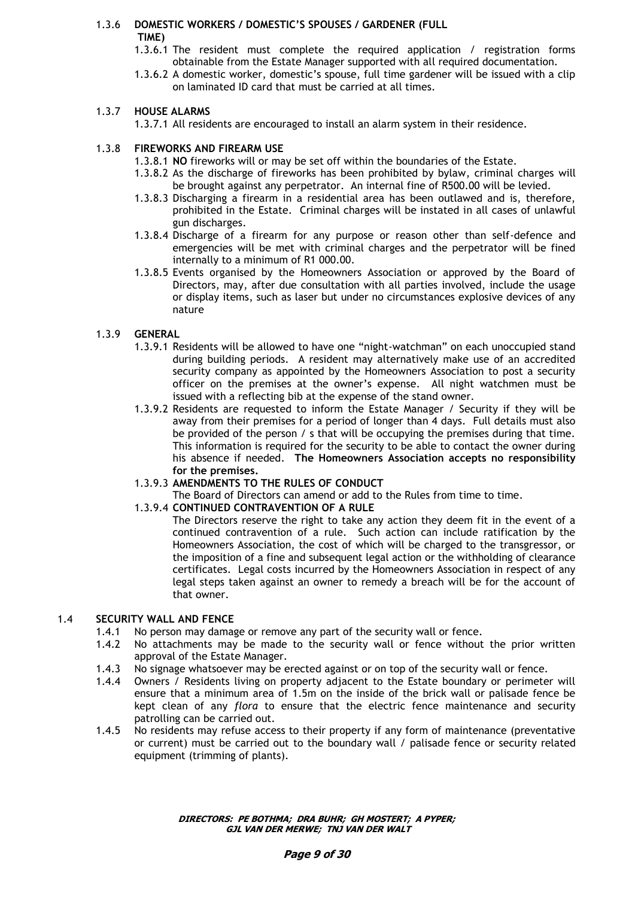# 1.3.6 **DOMESTIC WORKERS / DOMESTIC"S SPOUSES / GARDENER (FULL TIME)**

- 1.3.6.1 The resident must complete the required application / registration forms obtainable from the Estate Manager supported with all required documentation.
- 1.3.6.2 A domestic worker, domestic's spouse, full time gardener will be issued with a clip on laminated ID card that must be carried at all times.

# 1.3.7 **HOUSE ALARMS**

1.3.7.1 All residents are encouraged to install an alarm system in their residence.

# 1.3.8 **FIREWORKS AND FIREARM USE**

- 1.3.8.1 **NO** fireworks will or may be set off within the boundaries of the Estate.
- 1.3.8.2 As the discharge of fireworks has been prohibited by bylaw, criminal charges will be brought against any perpetrator. An internal fine of R500.00 will be levied.
- 1.3.8.3 Discharging a firearm in a residential area has been outlawed and is, therefore, prohibited in the Estate. Criminal charges will be instated in all cases of unlawful gun discharges.
- 1.3.8.4 Discharge of a firearm for any purpose or reason other than self-defence and emergencies will be met with criminal charges and the perpetrator will be fined internally to a minimum of R1 000.00.
- 1.3.8.5 Events organised by the Homeowners Association or approved by the Board of Directors, may, after due consultation with all parties involved, include the usage or display items, such as laser but under no circumstances explosive devices of any nature

# 1.3.9 **GENERAL**

- 1.3.9.1 Residents will be allowed to have one "night-watchman" on each unoccupied stand during building periods. A resident may alternatively make use of an accredited security company as appointed by the Homeowners Association to post a security officer on the premises at the owner's expense. All night watchmen must be issued with a reflecting bib at the expense of the stand owner.
- 1.3.9.2 Residents are requested to inform the Estate Manager / Security if they will be away from their premises for a period of longer than 4 days. Full details must also be provided of the person / s that will be occupying the premises during that time. This information is required for the security to be able to contact the owner during his absence if needed. **The Homeowners Association accepts no responsibility for the premises.**
- 1.3.9.3 **AMENDMENTS TO THE RULES OF CONDUCT**
	- The Board of Directors can amend or add to the Rules from time to time.

# 1.3.9.4 **CONTINUED CONTRAVENTION OF A RULE**

The Directors reserve the right to take any action they deem fit in the event of a continued contravention of a rule. Such action can include ratification by the Homeowners Association, the cost of which will be charged to the transgressor, or the imposition of a fine and subsequent legal action or the withholding of clearance certificates. Legal costs incurred by the Homeowners Association in respect of any legal steps taken against an owner to remedy a breach will be for the account of that owner.

# 1.4 **SECURITY WALL AND FENCE**

- 1.4.1 No person may damage or remove any part of the security wall or fence.
- 1.4.2 No attachments may be made to the security wall or fence without the prior written approval of the Estate Manager.
- 1.4.3 No signage whatsoever may be erected against or on top of the security wall or fence.
- 1.4.4 Owners / Residents living on property adjacent to the Estate boundary or perimeter will ensure that a minimum area of 1.5m on the inside of the brick wall or palisade fence be kept clean of any *flora* to ensure that the electric fence maintenance and security patrolling can be carried out.
- 1.4.5 No residents may refuse access to their property if any form of maintenance (preventative or current) must be carried out to the boundary wall / palisade fence or security related equipment (trimming of plants).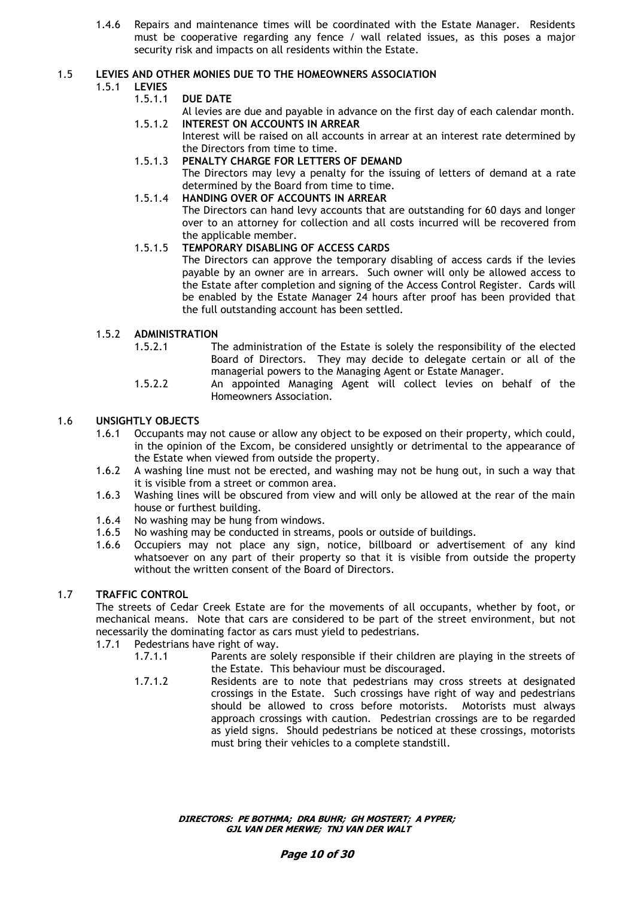1.4.6 Repairs and maintenance times will be coordinated with the Estate Manager. Residents must be cooperative regarding any fence / wall related issues, as this poses a major security risk and impacts on all residents within the Estate.

# 1.5 **LEVIES AND OTHER MONIES DUE TO THE HOMEOWNERS ASSOCIATION**

## 1.5.1 **LEVIES**

- 1.5.1.1 **DUE DATE**
- Al levies are due and payable in advance on the first day of each calendar month. 1.5.1.2 **INTEREST ON ACCOUNTS IN ARREAR**
	- Interest will be raised on all accounts in arrear at an interest rate determined by the Directors from time to time.
- 1.5.1.3 **PENALTY CHARGE FOR LETTERS OF DEMAND** The Directors may levy a penalty for the issuing of letters of demand at a rate determined by the Board from time to time.
- 1.5.1.4 **HANDING OVER OF ACCOUNTS IN ARREAR** The Directors can hand levy accounts that are outstanding for 60 days and longer over to an attorney for collection and all costs incurred will be recovered from the applicable member.

# 1.5.1.5 **TEMPORARY DISABLING OF ACCESS CARDS**

The Directors can approve the temporary disabling of access cards if the levies payable by an owner are in arrears. Such owner will only be allowed access to the Estate after completion and signing of the Access Control Register. Cards will be enabled by the Estate Manager 24 hours after proof has been provided that the full outstanding account has been settled.

# 1.5.2 **ADMINISTRATION**

- 1.5.2.1 The administration of the Estate is solely the responsibility of the elected Board of Directors. They may decide to delegate certain or all of the managerial powers to the Managing Agent or Estate Manager.
- 1.5.2.2 An appointed Managing Agent will collect levies on behalf of the Homeowners Association.

# 1.6 **UNSIGHTLY OBJECTS**

- 1.6.1 Occupants may not cause or allow any object to be exposed on their property, which could, in the opinion of the Excom, be considered unsightly or detrimental to the appearance of the Estate when viewed from outside the property.
- 1.6.2 A washing line must not be erected, and washing may not be hung out, in such a way that it is visible from a street or common area.
- 1.6.3 Washing lines will be obscured from view and will only be allowed at the rear of the main house or furthest building.
- 1.6.4 No washing may be hung from windows.
- 1.6.5 No washing may be conducted in streams, pools or outside of buildings.
- 1.6.6 Occupiers may not place any sign, notice, billboard or advertisement of any kind whatsoever on any part of their property so that it is visible from outside the property without the written consent of the Board of Directors.

# 1.7 **TRAFFIC CONTROL**

The streets of Cedar Creek Estate are for the movements of all occupants, whether by foot, or mechanical means. Note that cars are considered to be part of the street environment, but not necessarily the dominating factor as cars must yield to pedestrians.

- 1.7.1 Pedestrians have right of way.
	- 1.7.1.1 Parents are solely responsible if their children are playing in the streets of the Estate. This behaviour must be discouraged.
	- 1.7.1.2 Residents are to note that pedestrians may cross streets at designated crossings in the Estate. Such crossings have right of way and pedestrians should be allowed to cross before motorists. Motorists must always approach crossings with caution. Pedestrian crossings are to be regarded as yield signs. Should pedestrians be noticed at these crossings, motorists must bring their vehicles to a complete standstill.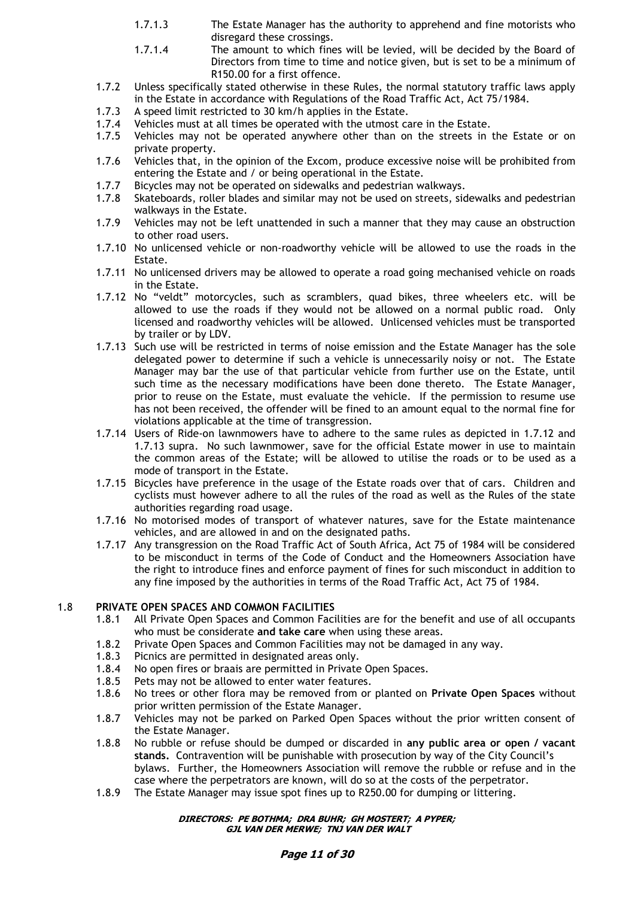- 1.7.1.3 The Estate Manager has the authority to apprehend and fine motorists who disregard these crossings.
- 1.7.1.4 The amount to which fines will be levied, will be decided by the Board of Directors from time to time and notice given, but is set to be a minimum of R150.00 for a first offence.
- 1.7.2 Unless specifically stated otherwise in these Rules, the normal statutory traffic laws apply in the Estate in accordance with Regulations of the Road Traffic Act, Act 75/1984.
- 1.7.3 A speed limit restricted to 30 km/h applies in the Estate.
- 1.7.4 Vehicles must at all times be operated with the utmost care in the Estate.<br>1.7.5 Vehicles may not be operated anywhere other than on the streets in
- Vehicles may not be operated anywhere other than on the streets in the Estate or on private property.
- 1.7.6 Vehicles that, in the opinion of the Excom, produce excessive noise will be prohibited from entering the Estate and / or being operational in the Estate.
- 1.7.7 Bicycles may not be operated on sidewalks and pedestrian walkways.
- 1.7.8 Skateboards, roller blades and similar may not be used on streets, sidewalks and pedestrian walkways in the Estate.
- 1.7.9 Vehicles may not be left unattended in such a manner that they may cause an obstruction to other road users.
- 1.7.10 No unlicensed vehicle or non-roadworthy vehicle will be allowed to use the roads in the Estate.
- 1.7.11 No unlicensed drivers may be allowed to operate a road going mechanised vehicle on roads in the Estate.
- 1.7.12 No "veldt" motorcycles, such as scramblers, quad bikes, three wheelers etc. will be allowed to use the roads if they would not be allowed on a normal public road. Only licensed and roadworthy vehicles will be allowed. Unlicensed vehicles must be transported by trailer or by LDV.
- 1.7.13 Such use will be restricted in terms of noise emission and the Estate Manager has the sole delegated power to determine if such a vehicle is unnecessarily noisy or not. The Estate Manager may bar the use of that particular vehicle from further use on the Estate, until such time as the necessary modifications have been done thereto. The Estate Manager, prior to reuse on the Estate, must evaluate the vehicle. If the permission to resume use has not been received, the offender will be fined to an amount equal to the normal fine for violations applicable at the time of transgression.
- 1.7.14 Users of Ride-on lawnmowers have to adhere to the same rules as depicted in 1.7.12 and 1.7.13 supra. No such lawnmower, save for the official Estate mower in use to maintain the common areas of the Estate; will be allowed to utilise the roads or to be used as a mode of transport in the Estate.
- 1.7.15 Bicycles have preference in the usage of the Estate roads over that of cars. Children and cyclists must however adhere to all the rules of the road as well as the Rules of the state authorities regarding road usage.
- 1.7.16 No motorised modes of transport of whatever natures, save for the Estate maintenance vehicles, and are allowed in and on the designated paths.
- 1.7.17 Any transgression on the Road Traffic Act of South Africa, Act 75 of 1984 will be considered to be misconduct in terms of the Code of Conduct and the Homeowners Association have the right to introduce fines and enforce payment of fines for such misconduct in addition to any fine imposed by the authorities in terms of the Road Traffic Act, Act 75 of 1984.

# 1.8 **PRIVATE OPEN SPACES AND COMMON FACILITIES**

- 1.8.1 All Private Open Spaces and Common Facilities are for the benefit and use of all occupants who must be considerate **and take care** when using these areas.
- 1.8.2 Private Open Spaces and Common Facilities may not be damaged in any way.
- 1.8.3 Picnics are permitted in designated areas only.
- 1.8.4 No open fires or braais are permitted in Private Open Spaces.
- 1.8.5 Pets may not be allowed to enter water features.
- 1.8.6 No trees or other flora may be removed from or planted on **Private Open Spaces** without prior written permission of the Estate Manager.
- 1.8.7 Vehicles may not be parked on Parked Open Spaces without the prior written consent of the Estate Manager.
- 1.8.8 No rubble or refuse should be dumped or discarded in **any public area or open / vacant stands.** Contravention will be punishable with prosecution by way of the City Council's bylaws. Further, the Homeowners Association will remove the rubble or refuse and in the case where the perpetrators are known, will do so at the costs of the perpetrator.
- 1.8.9 The Estate Manager may issue spot fines up to R250.00 for dumping or littering.

#### **DIRECTORS: PE BOTHMA; DRA BUHR; GH MOSTERT; A PYPER; GJL VAN DER MERWE; TNJ VAN DER WALT**

# **Page 11 of 30**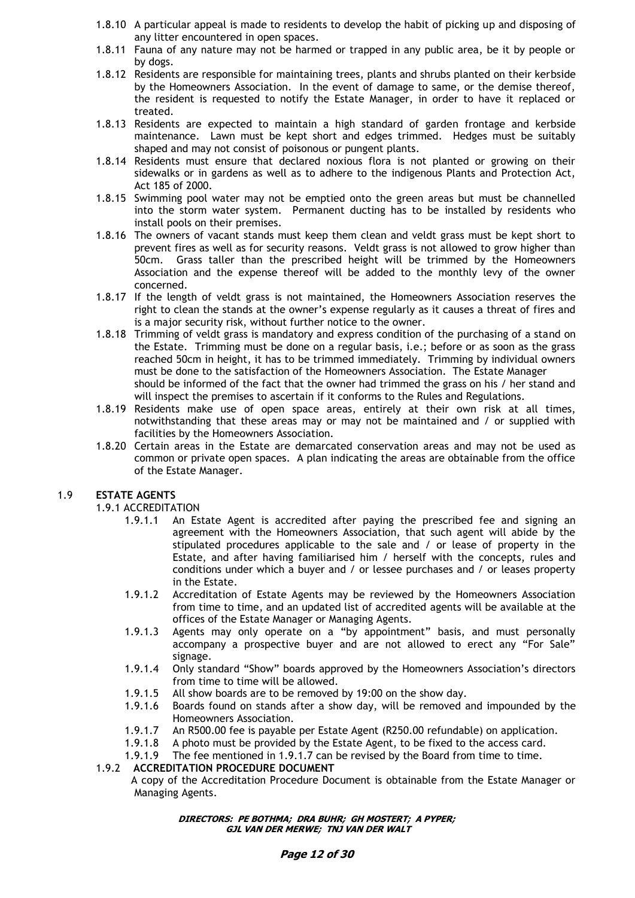- 1.8.10 A particular appeal is made to residents to develop the habit of picking up and disposing of any litter encountered in open spaces.
- 1.8.11 Fauna of any nature may not be harmed or trapped in any public area, be it by people or by dogs.
- 1.8.12 Residents are responsible for maintaining trees, plants and shrubs planted on their kerbside by the Homeowners Association. In the event of damage to same, or the demise thereof, the resident is requested to notify the Estate Manager, in order to have it replaced or treated.
- 1.8.13 Residents are expected to maintain a high standard of garden frontage and kerbside maintenance. Lawn must be kept short and edges trimmed. Hedges must be suitably shaped and may not consist of poisonous or pungent plants.
- 1.8.14 Residents must ensure that declared noxious flora is not planted or growing on their sidewalks or in gardens as well as to adhere to the indigenous Plants and Protection Act, Act 185 of 2000.
- 1.8.15 Swimming pool water may not be emptied onto the green areas but must be channelled into the storm water system. Permanent ducting has to be installed by residents who install pools on their premises.
- 1.8.16 The owners of vacant stands must keep them clean and veldt grass must be kept short to prevent fires as well as for security reasons. Veldt grass is not allowed to grow higher than 50cm. Grass taller than the prescribed height will be trimmed by the Homeowners Association and the expense thereof will be added to the monthly levy of the owner concerned.
- 1.8.17 If the length of veldt grass is not maintained, the Homeowners Association reserves the right to clean the stands at the owner's expense regularly as it causes a threat of fires and is a major security risk, without further notice to the owner.
- 1.8.18 Trimming of veldt grass is mandatory and express condition of the purchasing of a stand on the Estate. Trimming must be done on a regular basis, i.e.; before or as soon as the grass reached 50cm in height, it has to be trimmed immediately. Trimming by individual owners must be done to the satisfaction of the Homeowners Association. The Estate Manager should be informed of the fact that the owner had trimmed the grass on his / her stand and will inspect the premises to ascertain if it conforms to the Rules and Regulations.
- 1.8.19 Residents make use of open space areas, entirely at their own risk at all times, notwithstanding that these areas may or may not be maintained and / or supplied with facilities by the Homeowners Association.
- 1.8.20 Certain areas in the Estate are demarcated conservation areas and may not be used as common or private open spaces. A plan indicating the areas are obtainable from the office of the Estate Manager.

# 1.9 **ESTATE AGENTS**

1.9.1 ACCREDITATION

- 1.9.1.1 An Estate Agent is accredited after paying the prescribed fee and signing an agreement with the Homeowners Association, that such agent will abide by the stipulated procedures applicable to the sale and / or lease of property in the Estate, and after having familiarised him / herself with the concepts, rules and conditions under which a buyer and / or lessee purchases and / or leases property in the Estate.
- 1.9.1.2 Accreditation of Estate Agents may be reviewed by the Homeowners Association from time to time, and an updated list of accredited agents will be available at the offices of the Estate Manager or Managing Agents.
- 1.9.1.3 Agents may only operate on a "by appointment" basis, and must personally accompany a prospective buyer and are not allowed to erect any "For Sale" signage.
- 1.9.1.4 Only standard "Show" boards approved by the Homeowners Association's directors from time to time will be allowed.
- 1.9.1.5 All show boards are to be removed by 19:00 on the show day.
- 1.9.1.6 Boards found on stands after a show day, will be removed and impounded by the Homeowners Association.
- 1.9.1.7 An R500.00 fee is payable per Estate Agent (R250.00 refundable) on application.
- 1.9.1.8 A photo must be provided by the Estate Agent, to be fixed to the access card.
- 1.9.1.9 The fee mentioned in 1.9.1.7 can be revised by the Board from time to time.

# 1.9.2 **ACCREDITATION PROCEDURE DOCUMENT**

 A copy of the Accreditation Procedure Document is obtainable from the Estate Manager or Managing Agents.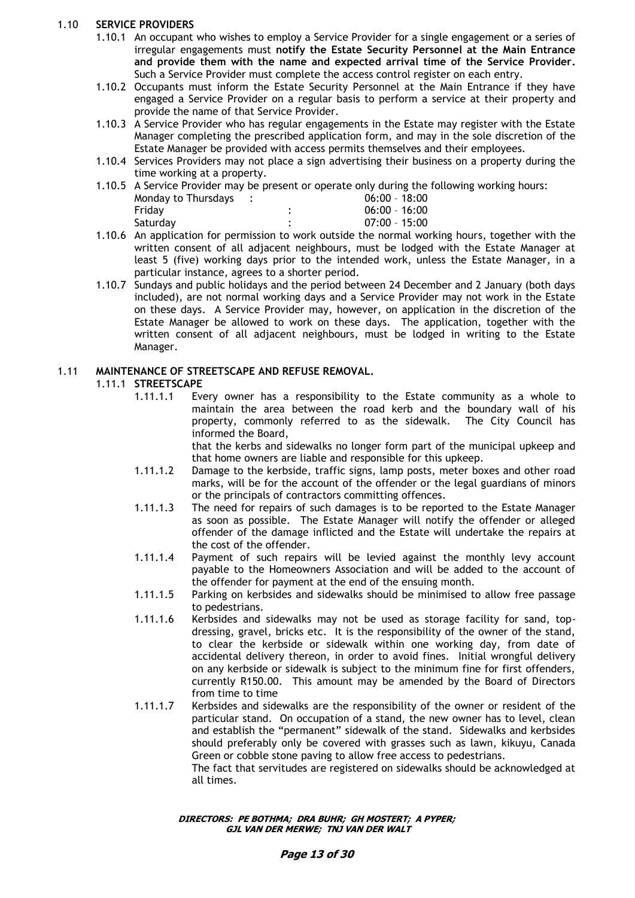# 1.10 **SERVICE PROVIDERS**

- 1.10.1 An occupant who wishes to employ a Service Provider for a single engagement or a series of irregular engagements must **notify the Estate Security Personnel at the Main Entrance and provide them with the name and expected arrival time of the Service Provider.** Such a Service Provider must complete the access control register on each entry.
- 1.10.2 Occupants must inform the Estate Security Personnel at the Main Entrance if they have engaged a Service Provider on a regular basis to perform a service at their property and provide the name of that Service Provider.
- 1.10.3 A Service Provider who has regular engagements in the Estate may register with the Estate Manager completing the prescribed application form, and may in the sole discretion of the Estate Manager be provided with access permits themselves and their employees.
- 1.10.4 Services Providers may not place a sign advertising their business on a property during the time working at a property.
- 1.10.5 A Service Provider may be present or operate only during the following working hours: Monday to Thursdays : 06:00 - 18:00

| Saturday |  |  |  | $07:00 - 15:00$ |                 |
|----------|--|--|--|-----------------|-----------------|
|          |  |  |  |                 |                 |
| Friday   |  |  |  |                 |                 |
|          |  |  |  |                 | $06:00 - 16:00$ |

- 1.10.6 An application for permission to work outside the normal working hours, together with the written consent of all adjacent neighbours, must be lodged with the Estate Manager at least 5 (five) working days prior to the intended work, unless the Estate Manager, in a particular instance, agrees to a shorter period.
- 1.10.7 Sundays and public holidays and the period between 24 December and 2 January (both days included), are not normal working days and a Service Provider may not work in the Estate on these days. A Service Provider may, however, on application in the discretion of the Estate Manager be allowed to work on these days. The application, together with the written consent of all adjacent neighbours, must be lodged in writing to the Estate Manager.

# 1.11 **MAINTENANCE OF STREETSCAPE AND REFUSE REMOVAL.**

# 1.11.1 **STREETSCAPE**

1.11.1.1 Every owner has a responsibility to the Estate community as a whole to maintain the area between the road kerb and the boundary wall of his property, commonly referred to as the sidewalk. The City Council has informed the Board,

that the kerbs and sidewalks no longer form part of the municipal upkeep and that home owners are liable and responsible for this upkeep.

- 1.11.1.2 Damage to the kerbside, traffic signs, lamp posts, meter boxes and other road marks, will be for the account of the offender or the legal guardians of minors or the principals of contractors committing offences.
- 1.11.1.3 The need for repairs of such damages is to be reported to the Estate Manager as soon as possible. The Estate Manager will notify the offender or alleged offender of the damage inflicted and the Estate will undertake the repairs at the cost of the offender.
- 1.11.1.4 Payment of such repairs will be levied against the monthly levy account payable to the Homeowners Association and will be added to the account of the offender for payment at the end of the ensuing month.
- 1.11.1.5 Parking on kerbsides and sidewalks should be minimised to allow free passage to pedestrians.
- 1.11.1.6 Kerbsides and sidewalks may not be used as storage facility for sand, topdressing, gravel, bricks etc. It is the responsibility of the owner of the stand, to clear the kerbside or sidewalk within one working day, from date of accidental delivery thereon, in order to avoid fines. Initial wrongful delivery on any kerbside or sidewalk is subject to the minimum fine for first offenders, currently R150.00. This amount may be amended by the Board of Directors from time to time
- 1.11.1.7 Kerbsides and sidewalks are the responsibility of the owner or resident of the particular stand. On occupation of a stand, the new owner has to level, clean and establish the "permanent" sidewalk of the stand. Sidewalks and kerbsides should preferably only be covered with grasses such as lawn, kikuyu, Canada Green or cobble stone paving to allow free access to pedestrians. The fact that servitudes are registered on sidewalks should be acknowledged at

all times.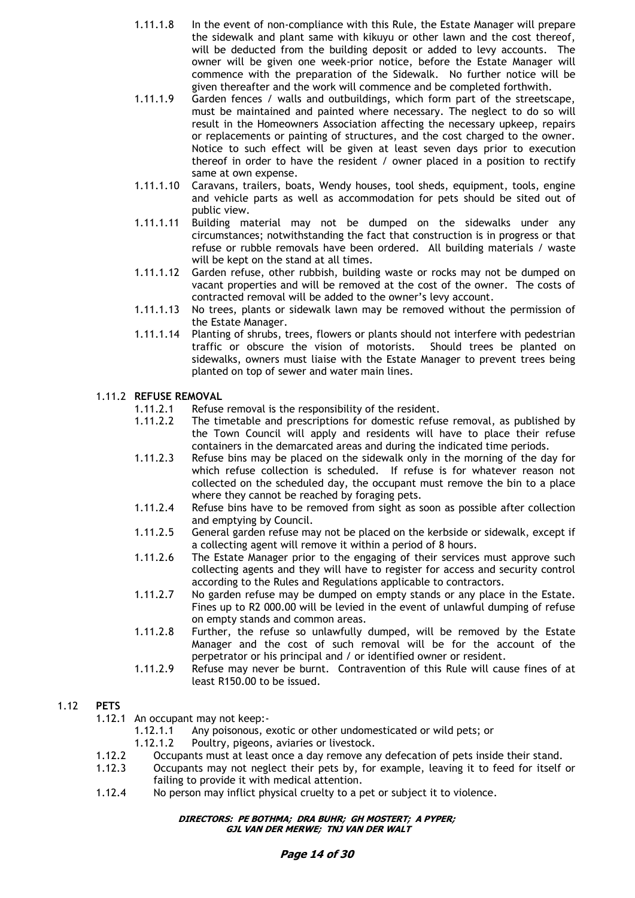- 1.11.1.8 In the event of non-compliance with this Rule, the Estate Manager will prepare the sidewalk and plant same with kikuyu or other lawn and the cost thereof, will be deducted from the building deposit or added to levy accounts. The owner will be given one week-prior notice, before the Estate Manager will commence with the preparation of the Sidewalk. No further notice will be given thereafter and the work will commence and be completed forthwith.
- 1.11.1.9 Garden fences / walls and outbuildings, which form part of the streetscape, must be maintained and painted where necessary. The neglect to do so will result in the Homeowners Association affecting the necessary upkeep, repairs or replacements or painting of structures, and the cost charged to the owner. Notice to such effect will be given at least seven days prior to execution thereof in order to have the resident / owner placed in a position to rectify same at own expense.
- 1.11.1.10 Caravans, trailers, boats, Wendy houses, tool sheds, equipment, tools, engine and vehicle parts as well as accommodation for pets should be sited out of public view.
- 1.11.1.11 Building material may not be dumped on the sidewalks under any circumstances; notwithstanding the fact that construction is in progress or that refuse or rubble removals have been ordered. All building materials / waste will be kept on the stand at all times.
- 1.11.1.12 Garden refuse, other rubbish, building waste or rocks may not be dumped on vacant properties and will be removed at the cost of the owner. The costs of contracted removal will be added to the owner's levy account.
- 1.11.1.13 No trees, plants or sidewalk lawn may be removed without the permission of the Estate Manager.
- 1.11.1.14 Planting of shrubs, trees, flowers or plants should not interfere with pedestrian traffic or obscure the vision of motorists. Should trees be planted on sidewalks, owners must liaise with the Estate Manager to prevent trees being planted on top of sewer and water main lines.

# 1.11.2 **REFUSE REMOVAL**

- 1.11.2.1 Refuse removal is the responsibility of the resident.
- 1.11.2.2 The timetable and prescriptions for domestic refuse removal, as published by the Town Council will apply and residents will have to place their refuse containers in the demarcated areas and during the indicated time periods.
- 1.11.2.3 Refuse bins may be placed on the sidewalk only in the morning of the day for which refuse collection is scheduled. If refuse is for whatever reason not collected on the scheduled day, the occupant must remove the bin to a place where they cannot be reached by foraging pets.
- 1.11.2.4 Refuse bins have to be removed from sight as soon as possible after collection and emptying by Council.
- 1.11.2.5 General garden refuse may not be placed on the kerbside or sidewalk, except if a collecting agent will remove it within a period of 8 hours.
- 1.11.2.6 The Estate Manager prior to the engaging of their services must approve such collecting agents and they will have to register for access and security control according to the Rules and Regulations applicable to contractors.
- 1.11.2.7 No garden refuse may be dumped on empty stands or any place in the Estate. Fines up to R2 000.00 will be levied in the event of unlawful dumping of refuse on empty stands and common areas.
- 1.11.2.8 Further, the refuse so unlawfully dumped, will be removed by the Estate Manager and the cost of such removal will be for the account of the perpetrator or his principal and / or identified owner or resident.
- 1.11.2.9 Refuse may never be burnt. Contravention of this Rule will cause fines of at least R150.00 to be issued.

# 1.12 **PETS**

- 1.12.1 An occupant may not keep:-
	- 1.12.1.1 Any poisonous, exotic or other undomesticated or wild pets; or
	- 1.12.1.2 Poultry, pigeons, aviaries or livestock.
- 1.12.2 Occupants must at least once a day remove any defecation of pets inside their stand.
- 1.12.3 Occupants may not neglect their pets by, for example, leaving it to feed for itself or failing to provide it with medical attention.
- 1.12.4 No person may inflict physical cruelty to a pet or subject it to violence.

#### **DIRECTORS: PE BOTHMA; DRA BUHR; GH MOSTERT; A PYPER; GJL VAN DER MERWE; TNJ VAN DER WALT**

# **Page 14 of 30**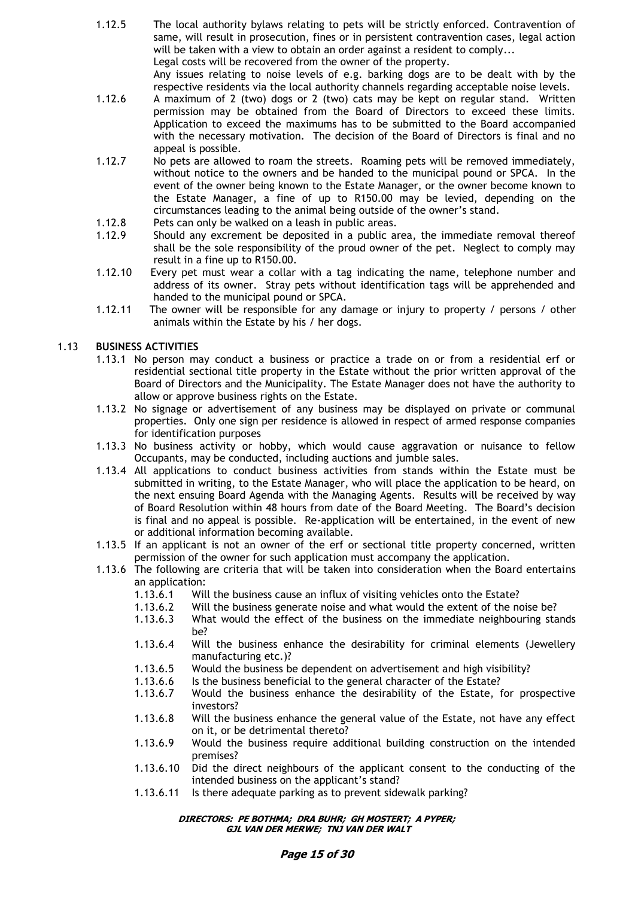- 1.12.5 The local authority bylaws relating to pets will be strictly enforced. Contravention of same, will result in prosecution, fines or in persistent contravention cases, legal action will be taken with a view to obtain an order against a resident to comply... Legal costs will be recovered from the owner of the property. Any issues relating to noise levels of e.g. barking dogs are to be dealt with by the respective residents via the local authority channels regarding acceptable noise levels.
- 1.12.6 A maximum of 2 (two) dogs or 2 (two) cats may be kept on regular stand. Written permission may be obtained from the Board of Directors to exceed these limits. Application to exceed the maximums has to be submitted to the Board accompanied with the necessary motivation. The decision of the Board of Directors is final and no appeal is possible.
- 1.12.7 No pets are allowed to roam the streets. Roaming pets will be removed immediately, without notice to the owners and be handed to the municipal pound or SPCA. In the event of the owner being known to the Estate Manager, or the owner become known to the Estate Manager, a fine of up to R150.00 may be levied, depending on the circumstances leading to the animal being outside of the owner's stand.
- 1.12.8 Pets can only be walked on a leash in public areas.
- 1.12.9 Should any excrement be deposited in a public area, the immediate removal thereof shall be the sole responsibility of the proud owner of the pet. Neglect to comply may result in a fine up to R150.00.
- 1.12.10 Every pet must wear a collar with a tag indicating the name, telephone number and address of its owner. Stray pets without identification tags will be apprehended and handed to the municipal pound or SPCA.
- 1.12.11 The owner will be responsible for any damage or injury to property / persons / other animals within the Estate by his / her dogs.

# 1.13 **BUSINESS ACTIVITIES**

- 1.13.1 No person may conduct a business or practice a trade on or from a residential erf or residential sectional title property in the Estate without the prior written approval of the Board of Directors and the Municipality. The Estate Manager does not have the authority to allow or approve business rights on the Estate.
- 1.13.2 No signage or advertisement of any business may be displayed on private or communal properties. Only one sign per residence is allowed in respect of armed response companies for identification purposes
- 1.13.3 No business activity or hobby, which would cause aggravation or nuisance to fellow Occupants, may be conducted, including auctions and jumble sales.
- 1.13.4 All applications to conduct business activities from stands within the Estate must be submitted in writing, to the Estate Manager, who will place the application to be heard, on the next ensuing Board Agenda with the Managing Agents. Results will be received by way of Board Resolution within 48 hours from date of the Board Meeting. The Board's decision is final and no appeal is possible. Re-application will be entertained, in the event of new or additional information becoming available.
- 1.13.5 If an applicant is not an owner of the erf or sectional title property concerned, written permission of the owner for such application must accompany the application.
- 1.13.6 The following are criteria that will be taken into consideration when the Board entertains an application:
	- 1.13.6.1 Will the business cause an influx of visiting vehicles onto the Estate?
	- 1.13.6.2 Will the business generate noise and what would the extent of the noise be?
	- 1.13.6.3 What would the effect of the business on the immediate neighbouring stands be?
	- 1.13.6.4 Will the business enhance the desirability for criminal elements (Jewellery manufacturing etc.)?
	- 1.13.6.5 Would the business be dependent on advertisement and high visibility?
	- 1.13.6.6 Is the business beneficial to the general character of the Estate?
	- 1.13.6.7 Would the business enhance the desirability of the Estate, for prospective investors?
	- 1.13.6.8 Will the business enhance the general value of the Estate, not have any effect on it, or be detrimental thereto?
	- 1.13.6.9 Would the business require additional building construction on the intended premises?
	- 1.13.6.10 Did the direct neighbours of the applicant consent to the conducting of the intended business on the applicant's stand?
	- 1.13.6.11 Is there adequate parking as to prevent sidewalk parking?

#### **DIRECTORS: PE BOTHMA; DRA BUHR; GH MOSTERT; A PYPER; GJL VAN DER MERWE; TNJ VAN DER WALT**

# **Page 15 of 30**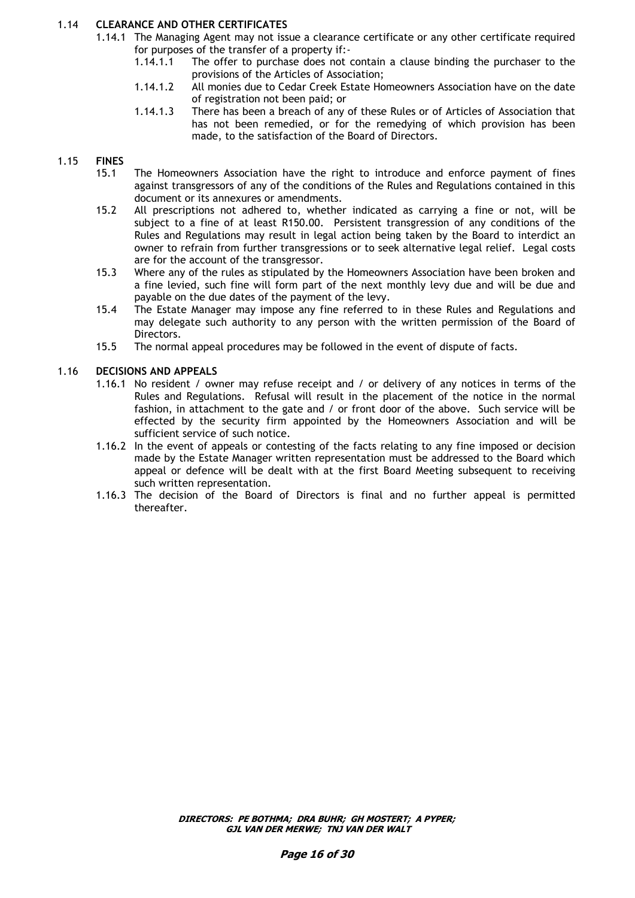# 1.14 **CLEARANCE AND OTHER CERTIFICATES**

- 1.14.1 The Managing Agent may not issue a clearance certificate or any other certificate required for purposes of the transfer of a property if:-
	- 1.14.1.1 The offer to purchase does not contain a clause binding the purchaser to the provisions of the Articles of Association;
	- 1.14.1.2 All monies due to Cedar Creek Estate Homeowners Association have on the date of registration not been paid; or
	- 1.14.1.3 There has been a breach of any of these Rules or of Articles of Association that has not been remedied, or for the remedying of which provision has been made, to the satisfaction of the Board of Directors.

# 1.15 **FINES**

- 15.1 The Homeowners Association have the right to introduce and enforce payment of fines against transgressors of any of the conditions of the Rules and Regulations contained in this document or its annexures or amendments.
- 15.2 All prescriptions not adhered to, whether indicated as carrying a fine or not, will be subject to a fine of at least R150.00. Persistent transgression of any conditions of the Rules and Regulations may result in legal action being taken by the Board to interdict an owner to refrain from further transgressions or to seek alternative legal relief. Legal costs are for the account of the transgressor.
- 15.3 Where any of the rules as stipulated by the Homeowners Association have been broken and a fine levied, such fine will form part of the next monthly levy due and will be due and payable on the due dates of the payment of the levy.
- 15.4 The Estate Manager may impose any fine referred to in these Rules and Regulations and may delegate such authority to any person with the written permission of the Board of Directors.
- 15.5 The normal appeal procedures may be followed in the event of dispute of facts.

# 1.16 **DECISIONS AND APPEALS**

- 1.16.1 No resident / owner may refuse receipt and / or delivery of any notices in terms of the Rules and Regulations. Refusal will result in the placement of the notice in the normal fashion, in attachment to the gate and / or front door of the above. Such service will be effected by the security firm appointed by the Homeowners Association and will be sufficient service of such notice.
- 1.16.2 In the event of appeals or contesting of the facts relating to any fine imposed or decision made by the Estate Manager written representation must be addressed to the Board which appeal or defence will be dealt with at the first Board Meeting subsequent to receiving such written representation.
- 1.16.3 The decision of the Board of Directors is final and no further appeal is permitted thereafter.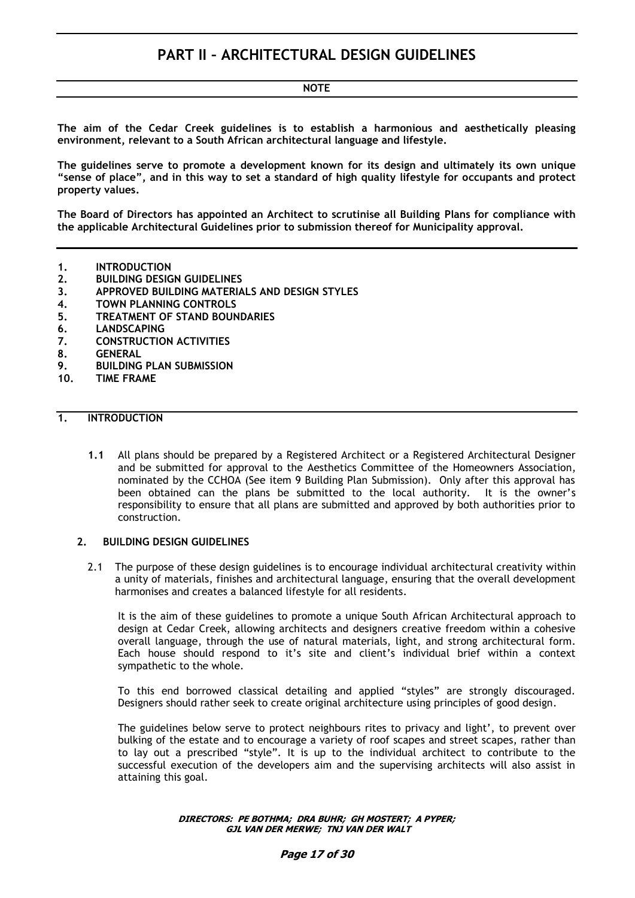# **NOTE**

**The aim of the Cedar Creek guidelines is to establish a harmonious and aesthetically pleasing environment, relevant to a South African architectural language and lifestyle.** 

**The guidelines serve to promote a development known for its design and ultimately its own unique "sense of place", and in this way to set a standard of high quality lifestyle for occupants and protect property values.**

**The Board of Directors has appointed an Architect to scrutinise all Building Plans for compliance with the applicable Architectural Guidelines prior to submission thereof for Municipality approval.**

- **1. INTRODUCTION**
- **2. BUILDING DESIGN GUIDELINES**
- **3. APPROVED BUILDING MATERIALS AND DESIGN STYLES**
- **4. TOWN PLANNING CONTROLS**
- **5. TREATMENT OF STAND BOUNDARIES**
- **6. LANDSCAPING**
- **7. CONSTRUCTION ACTIVITIES**
- **8. GENERAL**
- **9. BUILDING PLAN SUBMISSION**
- **10. TIME FRAME**

# **1. INTRODUCTION**

**1.1** All plans should be prepared by a Registered Architect or a Registered Architectural Designer and be submitted for approval to the Aesthetics Committee of the Homeowners Association, nominated by the CCHOA (See item 9 Building Plan Submission). Only after this approval has been obtained can the plans be submitted to the local authority. It is the owner's responsibility to ensure that all plans are submitted and approved by both authorities prior to construction.

#### **2. BUILDING DESIGN GUIDELINES**

2.1 The purpose of these design guidelines is to encourage individual architectural creativity within a unity of materials, finishes and architectural language, ensuring that the overall development harmonises and creates a balanced lifestyle for all residents.

It is the aim of these guidelines to promote a unique South African Architectural approach to design at Cedar Creek, allowing architects and designers creative freedom within a cohesive overall language, through the use of natural materials, light, and strong architectural form. Each house should respond to it's site and client's individual brief within a context sympathetic to the whole.

To this end borrowed classical detailing and applied "styles" are strongly discouraged. Designers should rather seek to create original architecture using principles of good design.

The guidelines below serve to protect neighbours rites to privacy and light', to prevent over bulking of the estate and to encourage a variety of roof scapes and street scapes, rather than to lay out a prescribed "style". It is up to the individual architect to contribute to the successful execution of the developers aim and the supervising architects will also assist in attaining this goal.

> **DIRECTORS: PE BOTHMA; DRA BUHR; GH MOSTERT; A PYPER; GJL VAN DER MERWE; TNJ VAN DER WALT**

#### **Page 17 of 30**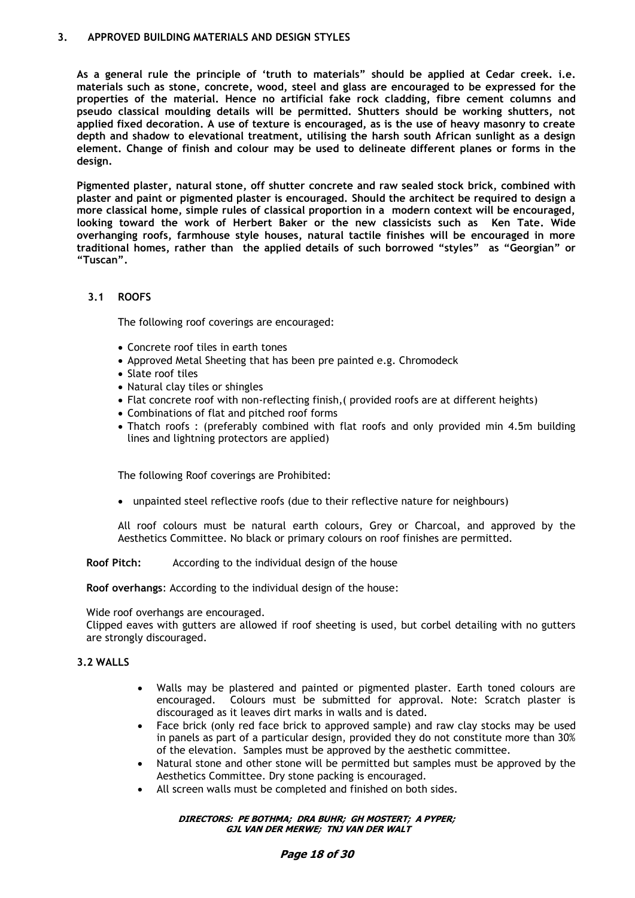#### **3. APPROVED BUILDING MATERIALS AND DESIGN STYLES**

**As a general rule the principle of "truth to materials" should be applied at Cedar creek. i.e. materials such as stone, concrete, wood, steel and glass are encouraged to be expressed for the properties of the material. Hence no artificial fake rock cladding, fibre cement columns and pseudo classical moulding details will be permitted. Shutters should be working shutters, not applied fixed decoration. A use of texture is encouraged, as is the use of heavy masonry to create depth and shadow to elevational treatment, utilising the harsh south African sunlight as a design element. Change of finish and colour may be used to delineate different planes or forms in the design.**

**Pigmented plaster, natural stone, off shutter concrete and raw sealed stock brick, combined with plaster and paint or pigmented plaster is encouraged. Should the architect be required to design a more classical home, simple rules of classical proportion in a modern context will be encouraged, looking toward the work of Herbert Baker or the new classicists such as Ken Tate. Wide overhanging roofs, farmhouse style houses, natural tactile finishes will be encouraged in more traditional homes, rather than the applied details of such borrowed "styles" as "Georgian" or "Tuscan".** 

# **3.1 ROOFS**

The following roof coverings are encouraged:

- Concrete roof tiles in earth tones
- Approved Metal Sheeting that has been pre painted e.g. Chromodeck
- Slate roof tiles
- Natural clay tiles or shingles
- Flat concrete roof with non-reflecting finish,( provided roofs are at different heights)
- Combinations of flat and pitched roof forms
- Thatch roofs : (preferably combined with flat roofs and only provided min 4.5m building lines and lightning protectors are applied)

The following Roof coverings are Prohibited:

unpainted steel reflective roofs (due to their reflective nature for neighbours)

All roof colours must be natural earth colours, Grey or Charcoal, and approved by the Aesthetics Committee. No black or primary colours on roof finishes are permitted.

**Roof Pitch:** According to the individual design of the house

**Roof overhangs**: According to the individual design of the house:

Wide roof overhangs are encouraged.

Clipped eaves with gutters are allowed if roof sheeting is used, but corbel detailing with no gutters are strongly discouraged.

# **3.2 WALLS**

- Walls may be plastered and painted or pigmented plaster. Earth toned colours are encouraged. Colours must be submitted for approval. Note: Scratch plaster is discouraged as it leaves dirt marks in walls and is dated.
- Face brick (only red face brick to approved sample) and raw clay stocks may be used in panels as part of a particular design, provided they do not constitute more than 30% of the elevation. Samples must be approved by the aesthetic committee.
- Natural stone and other stone will be permitted but samples must be approved by the Aesthetics Committee. Dry stone packing is encouraged.
- All screen walls must be completed and finished on both sides.

#### **DIRECTORS: PE BOTHMA; DRA BUHR; GH MOSTERT; A PYPER; GJL VAN DER MERWE; TNJ VAN DER WALT**

#### **Page 18 of 30**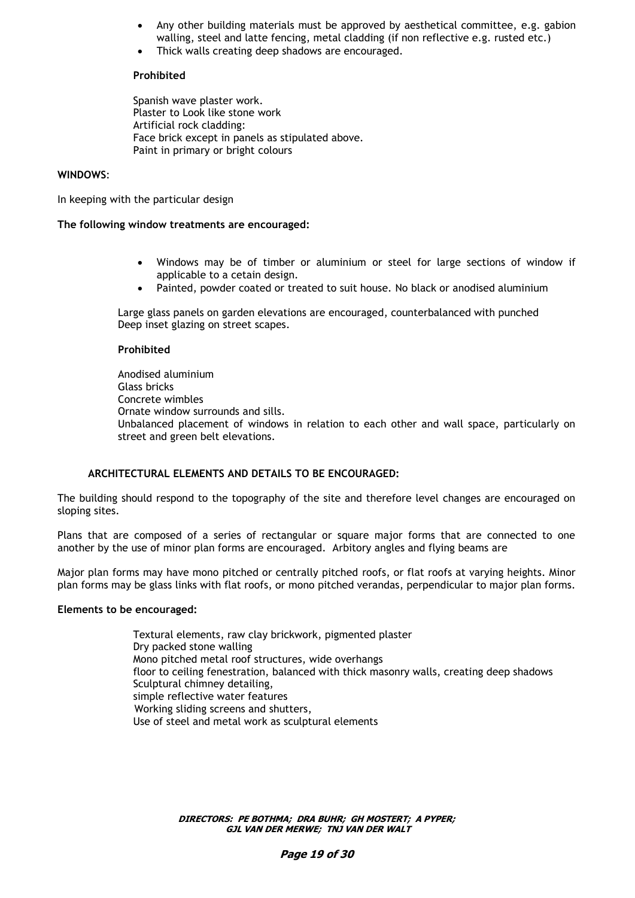- Any other building materials must be approved by aesthetical committee, e.g. gabion walling, steel and latte fencing, metal cladding (if non reflective e.g. rusted etc.)
- Thick walls creating deep shadows are encouraged.

### **Prohibited**

Spanish wave plaster work. Plaster to Look like stone work Artificial rock cladding: Face brick except in panels as stipulated above. Paint in primary or bright colours

### **WINDOWS**:

In keeping with the particular design

#### **The following window treatments are encouraged:**

- Windows may be of timber or aluminium or steel for large sections of window if applicable to a cetain design.
- Painted, powder coated or treated to suit house. No black or anodised aluminium

Large glass panels on garden elevations are encouraged, counterbalanced with punched Deep inset glazing on street scapes.

#### **Prohibited**

Anodised aluminium Glass bricks Concrete wimbles Ornate window surrounds and sills. Unbalanced placement of windows in relation to each other and wall space, particularly on street and green belt elevations.

#### **ARCHITECTURAL ELEMENTS AND DETAILS TO BE ENCOURAGED:**

The building should respond to the topography of the site and therefore level changes are encouraged on sloping sites.

Plans that are composed of a series of rectangular or square major forms that are connected to one another by the use of minor plan forms are encouraged. Arbitory angles and flying beams are

Major plan forms may have mono pitched or centrally pitched roofs, or flat roofs at varying heights. Minor plan forms may be glass links with flat roofs, or mono pitched verandas, perpendicular to major plan forms.

#### **Elements to be encouraged:**

Textural elements, raw clay brickwork, pigmented plaster Dry packed stone walling Mono pitched metal roof structures, wide overhangs floor to ceiling fenestration, balanced with thick masonry walls, creating deep shadows Sculptural chimney detailing, simple reflective water features Working sliding screens and shutters, Use of steel and metal work as sculptural elements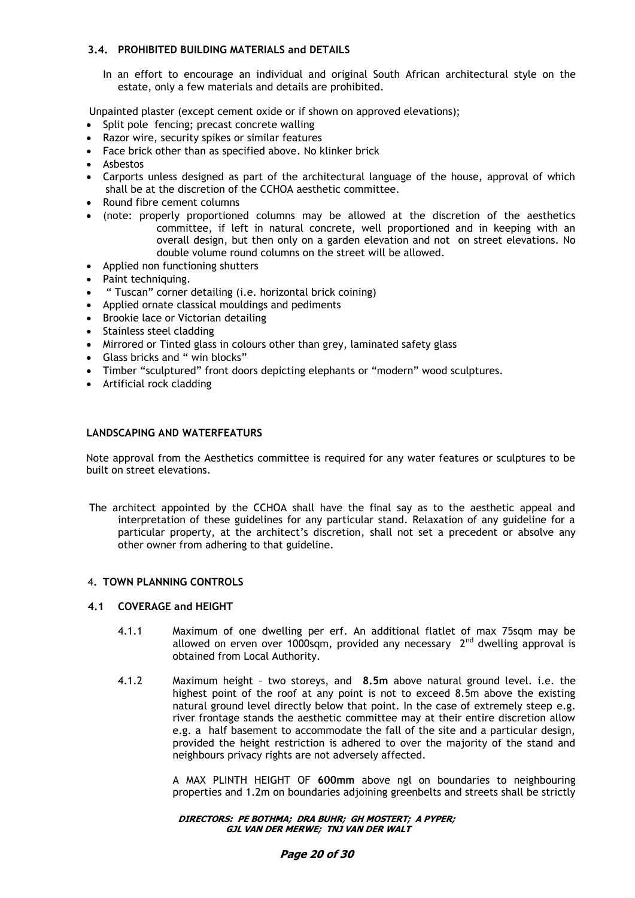# **3.4. PROHIBITED BUILDING MATERIALS and DETAILS**

In an effort to encourage an individual and original South African architectural style on the estate, only a few materials and details are prohibited.

Unpainted plaster (except cement oxide or if shown on approved elevations);

- Split pole fencing; precast concrete walling
- Razor wire, security spikes or similar features
- Face brick other than as specified above. No klinker brick
- Asbestos
- Carports unless designed as part of the architectural language of the house, approval of which shall be at the discretion of the CCHOA aesthetic committee.
- Round fibre cement columns
- (note: properly proportioned columns may be allowed at the discretion of the aesthetics committee, if left in natural concrete, well proportioned and in keeping with an overall design, but then only on a garden elevation and not on street elevations. No double volume round columns on the street will be allowed.
- Applied non functioning shutters
- Paint techniquing.
- " Tuscan" corner detailing (i.e. horizontal brick coining)
- Applied ornate classical mouldings and pediments
- Brookie lace or Victorian detailing
- Stainless steel cladding
- Mirrored or Tinted glass in colours other than grey, laminated safety glass
- Glass bricks and " win blocks"
- Timber "sculptured" front doors depicting elephants or "modern" wood sculptures.
- Artificial rock cladding

#### **LANDSCAPING AND WATERFEATURS**

Note approval from the Aesthetics committee is required for any water features or sculptures to be built on street elevations.

The architect appointed by the CCHOA shall have the final say as to the aesthetic appeal and interpretation of these guidelines for any particular stand. Relaxation of any guideline for a particular property, at the architect's discretion, shall not set a precedent or absolve any other owner from adhering to that guideline.

#### 4**. TOWN PLANNING CONTROLS**

### **4.1 COVERAGE and HEIGHT**

- 4.1.1 Maximum of one dwelling per erf. An additional flatlet of max 75sqm may be allowed on erven over 1000sqm, provided any necessary  $2<sup>nd</sup>$  dwelling approval is obtained from Local Authority.
- 4.1.2 Maximum height two storeys, and **8.5m** above natural ground level. i.e. the highest point of the roof at any point is not to exceed 8.5m above the existing natural ground level directly below that point. In the case of extremely steep e.g. river frontage stands the aesthetic committee may at their entire discretion allow e.g. a half basement to accommodate the fall of the site and a particular design, provided the height restriction is adhered to over the majority of the stand and neighbours privacy rights are not adversely affected.

A MAX PLINTH HEIGHT OF **600mm** above ngl on boundaries to neighbouring properties and 1.2m on boundaries adjoining greenbelts and streets shall be strictly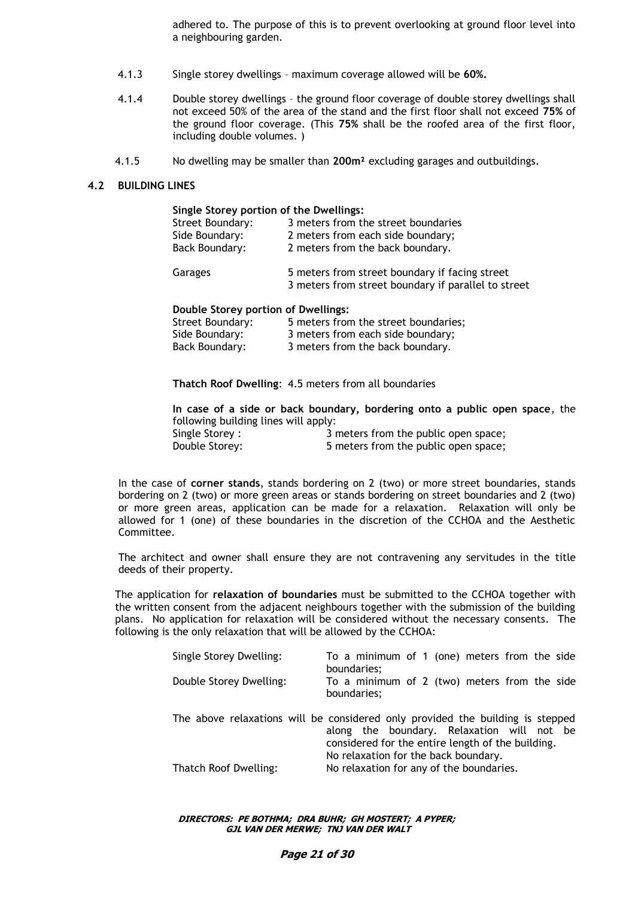adhered to. The purpose of this is to prevent overlooking at ground floor level into a neighbouring garden.

- 4.1.3 Single storey dwellings maximum coverage allowed will be **60%.**
- 4.1.4 Double storey dwellings the ground floor coverage of double storey dwellings shall not exceed 50% of the area of the stand and the first floor shall not exceed **75%** of the ground floor coverage. (This **75%** shall be the roofed area of the first floor, including double volumes. )
- 4.1.5 No dwelling may be smaller than **200m²** excluding garages and outbuildings.

#### **4.2 BUILDING LINES**

| Single Storey portion of the Dwellings: |                                                                                                       |
|-----------------------------------------|-------------------------------------------------------------------------------------------------------|
| <b>Street Boundary:</b>                 | 3 meters from the street boundaries                                                                   |
| Side Boundary:                          | 2 meters from each side boundary;                                                                     |
| Back Boundary:                          | 2 meters from the back boundary.                                                                      |
| Garages                                 | 5 meters from street boundary if facing street<br>3 meters from street boundary if parallel to street |

#### **Double Storey portion of Dwellings:**

| Street Boundary: | 5 meters from the street boundaries; |
|------------------|--------------------------------------|
| Side Boundary:   | 3 meters from each side boundary;    |
| Back Boundary:   | 3 meters from the back boundary.     |

**Thatch Roof Dwelling**: 4.5 meters from all boundaries

**In case of a side or back boundary, bordering onto a public open space**, the following building lines will apply: Single Storey : 3 meters from the public open space;

Double Storey: 5 meters from the public open space;

In the case of **corner stands**, stands bordering on 2 (two) or more street boundaries, stands bordering on 2 (two) or more green areas or stands bordering on street boundaries and 2 (two) or more green areas, application can be made for a relaxation. Relaxation will only be allowed for 1 (one) of these boundaries in the discretion of the CCHOA and the Aesthetic Committee.

The architect and owner shall ensure they are not contravening any servitudes in the title deeds of their property.

The application for **relaxation of boundaries** must be submitted to the CCHOA together with the written consent from the adjacent neighbours together with the submission of the building plans. No application for relaxation will be considered without the necessary consents. The following is the only relaxation that will be allowed by the CCHOA:

| Single Storey Dwelling: | To a minimum of 1 (one) meters from the side<br>boundaries;                                                                                                                                                               |
|-------------------------|---------------------------------------------------------------------------------------------------------------------------------------------------------------------------------------------------------------------------|
| Double Storey Dwelling: | To a minimum of 2 (two) meters from the side<br>boundaries;                                                                                                                                                               |
|                         | The above relaxations will be considered only provided the building is stepped<br>along the boundary. Relaxation will not be<br>considered for the entire length of the building.<br>No relaxation for the back boundary. |
| Thatch Roof Dwelling:   | No relaxation for any of the boundaries.                                                                                                                                                                                  |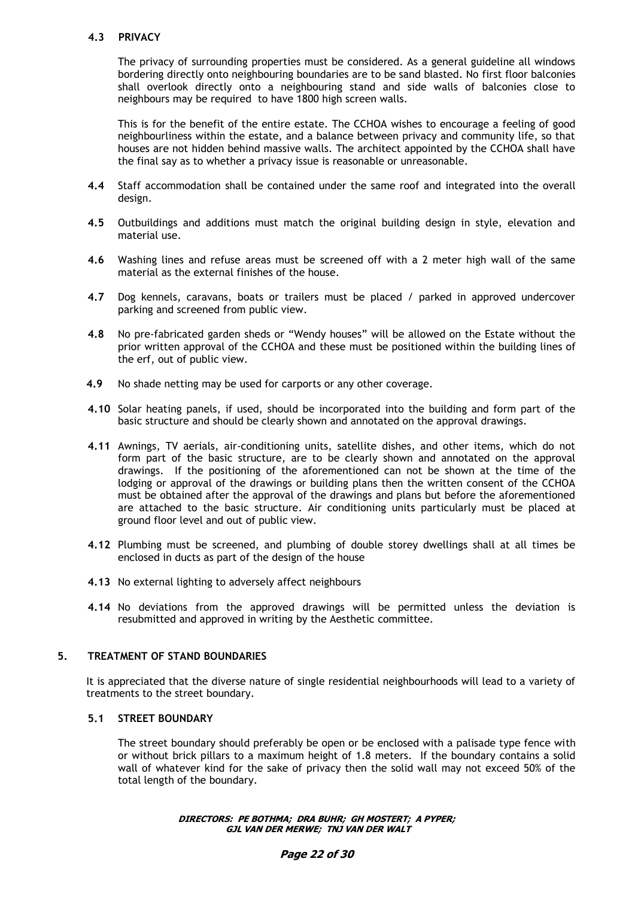# **4.3 PRIVACY**

The privacy of surrounding properties must be considered. As a general guideline all windows bordering directly onto neighbouring boundaries are to be sand blasted. No first floor balconies shall overlook directly onto a neighbouring stand and side walls of balconies close to neighbours may be required to have 1800 high screen walls.

This is for the benefit of the entire estate. The CCHOA wishes to encourage a feeling of good neighbourliness within the estate, and a balance between privacy and community life, so that houses are not hidden behind massive walls. The architect appointed by the CCHOA shall have the final say as to whether a privacy issue is reasonable or unreasonable.

- **4.4** Staff accommodation shall be contained under the same roof and integrated into the overall design.
- **4.5** Outbuildings and additions must match the original building design in style, elevation and material use.
- **4.6** Washing lines and refuse areas must be screened off with a 2 meter high wall of the same material as the external finishes of the house.
- **4.7** Dog kennels, caravans, boats or trailers must be placed / parked in approved undercover parking and screened from public view.
- **4.8** No pre-fabricated garden sheds or "Wendy houses" will be allowed on the Estate without the prior written approval of the CCHOA and these must be positioned within the building lines of the erf, out of public view.
- **4.9** No shade netting may be used for carports or any other coverage.
- **4.10** Solar heating panels, if used, should be incorporated into the building and form part of the basic structure and should be clearly shown and annotated on the approval drawings.
- **4.11** Awnings, TV aerials, air-conditioning units, satellite dishes, and other items, which do not form part of the basic structure, are to be clearly shown and annotated on the approval drawings. If the positioning of the aforementioned can not be shown at the time of the lodging or approval of the drawings or building plans then the written consent of the CCHOA must be obtained after the approval of the drawings and plans but before the aforementioned are attached to the basic structure. Air conditioning units particularly must be placed at ground floor level and out of public view.
- **4.12** Plumbing must be screened, and plumbing of double storey dwellings shall at all times be enclosed in ducts as part of the design of the house
- **4.13** No external lighting to adversely affect neighbours
- **4.14** No deviations from the approved drawings will be permitted unless the deviation is resubmitted and approved in writing by the Aesthetic committee.

#### **5. TREATMENT OF STAND BOUNDARIES**

It is appreciated that the diverse nature of single residential neighbourhoods will lead to a variety of treatments to the street boundary.

# **5.1 STREET BOUNDARY**

The street boundary should preferably be open or be enclosed with a palisade type fence with or without brick pillars to a maximum height of 1.8 meters. If the boundary contains a solid wall of whatever kind for the sake of privacy then the solid wall may not exceed 50% of the total length of the boundary.

#### **DIRECTORS: PE BOTHMA; DRA BUHR; GH MOSTERT; A PYPER; GJL VAN DER MERWE; TNJ VAN DER WALT**

#### **Page 22 of 30**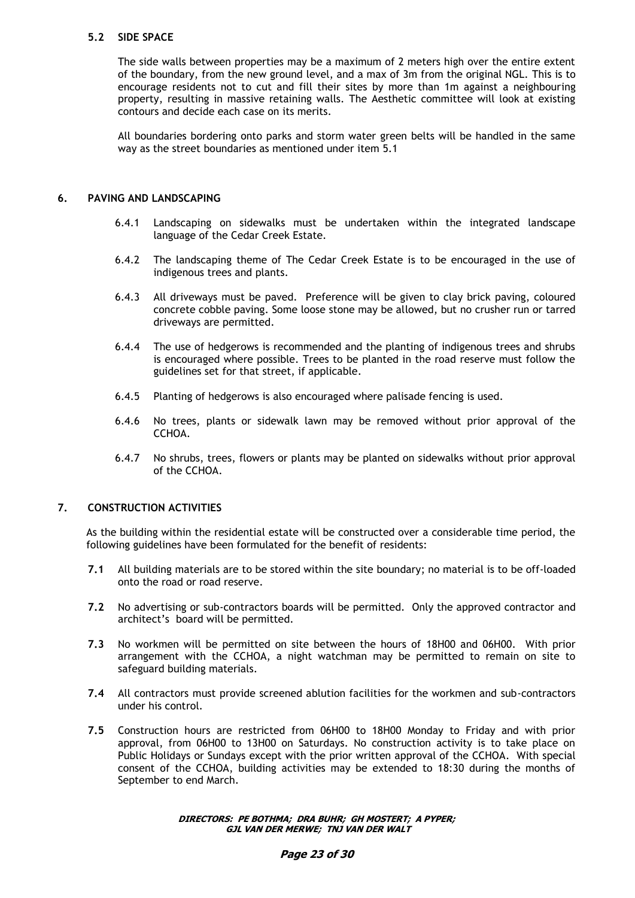### **5.2 SIDE SPACE**

The side walls between properties may be a maximum of 2 meters high over the entire extent of the boundary, from the new ground level, and a max of 3m from the original NGL. This is to encourage residents not to cut and fill their sites by more than 1m against a neighbouring property, resulting in massive retaining walls. The Aesthetic committee will look at existing contours and decide each case on its merits.

All boundaries bordering onto parks and storm water green belts will be handled in the same way as the street boundaries as mentioned under item 5.1

#### **6. PAVING AND LANDSCAPING**

- 6.4.1 Landscaping on sidewalks must be undertaken within the integrated landscape language of the Cedar Creek Estate.
- 6.4.2 The landscaping theme of The Cedar Creek Estate is to be encouraged in the use of indigenous trees and plants.
- 6.4.3 All driveways must be paved. Preference will be given to clay brick paving, coloured concrete cobble paving. Some loose stone may be allowed, but no crusher run or tarred driveways are permitted.
- 6.4.4 The use of hedgerows is recommended and the planting of indigenous trees and shrubs is encouraged where possible. Trees to be planted in the road reserve must follow the guidelines set for that street, if applicable.
- 6.4.5 Planting of hedgerows is also encouraged where palisade fencing is used.
- 6.4.6 No trees, plants or sidewalk lawn may be removed without prior approval of the CCHOA.
- 6.4.7 No shrubs, trees, flowers or plants may be planted on sidewalks without prior approval of the CCHOA.

# **7. CONSTRUCTION ACTIVITIES**

As the building within the residential estate will be constructed over a considerable time period, the following guidelines have been formulated for the benefit of residents:

- **7.1** All building materials are to be stored within the site boundary; no material is to be off-loaded onto the road or road reserve.
- **7.2** No advertising or sub-contractors boards will be permitted. Only the approved contractor and architect's board will be permitted.
- **7.3** No workmen will be permitted on site between the hours of 18H00 and 06H00. With prior arrangement with the CCHOA, a night watchman may be permitted to remain on site to safeguard building materials.
- **7.4** All contractors must provide screened ablution facilities for the workmen and sub-contractors under his control.
- **7.5** Construction hours are restricted from 06H00 to 18H00 Monday to Friday and with prior approval, from 06H00 to 13H00 on Saturdays. No construction activity is to take place on Public Holidays or Sundays except with the prior written approval of the CCHOA. With special consent of the CCHOA, building activities may be extended to 18:30 during the months of September to end March.

**DIRECTORS: PE BOTHMA; DRA BUHR; GH MOSTERT; A PYPER; GJL VAN DER MERWE; TNJ VAN DER WALT**

#### **Page 23 of 30**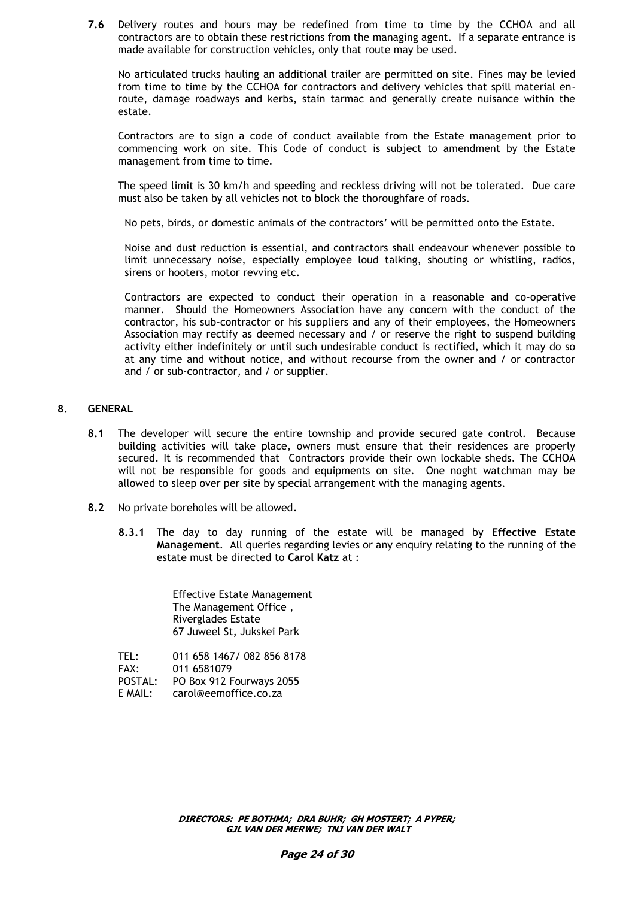**7.6** Delivery routes and hours may be redefined from time to time by the CCHOA and all contractors are to obtain these restrictions from the managing agent. If a separate entrance is made available for construction vehicles, only that route may be used.

No articulated trucks hauling an additional trailer are permitted on site. Fines may be levied from time to time by the CCHOA for contractors and delivery vehicles that spill material enroute, damage roadways and kerbs, stain tarmac and generally create nuisance within the estate.

Contractors are to sign a code of conduct available from the Estate management prior to commencing work on site. This Code of conduct is subject to amendment by the Estate management from time to time.

The speed limit is 30 km/h and speeding and reckless driving will not be tolerated. Due care must also be taken by all vehicles not to block the thoroughfare of roads.

No pets, birds, or domestic animals of the contractors' will be permitted onto the Estate.

Noise and dust reduction is essential, and contractors shall endeavour whenever possible to limit unnecessary noise, especially employee loud talking, shouting or whistling, radios, sirens or hooters, motor revving etc.

Contractors are expected to conduct their operation in a reasonable and co-operative manner. Should the Homeowners Association have any concern with the conduct of the contractor, his sub-contractor or his suppliers and any of their employees, the Homeowners Association may rectify as deemed necessary and / or reserve the right to suspend building activity either indefinitely or until such undesirable conduct is rectified, which it may do so at any time and without notice, and without recourse from the owner and / or contractor and / or sub-contractor, and / or supplier.

### **8. GENERAL**

- **8.1** The developer will secure the entire township and provide secured gate control. Because building activities will take place, owners must ensure that their residences are properly secured. It is recommended that Contractors provide their own lockable sheds. The CCHOA will not be responsible for goods and equipments on site. One noght watchman may be allowed to sleep over per site by special arrangement with the managing agents.
- **8.2** No private boreholes will be allowed.
	- **8.3.1** The day to day running of the estate will be managed by **Effective Estate Management**. All queries regarding levies or any enquiry relating to the running of the estate must be directed to **Carol Katz** at :

Effective Estate Management The Management Office , Riverglades Estate 67 Juweel St, Jukskei Park

TEL: 011 658 1467/ 082 856 8178 FAX: 011 6581079 POSTAL: PO Box 912 Fourways 2055 E MAIL: carol@eemoffice.co.za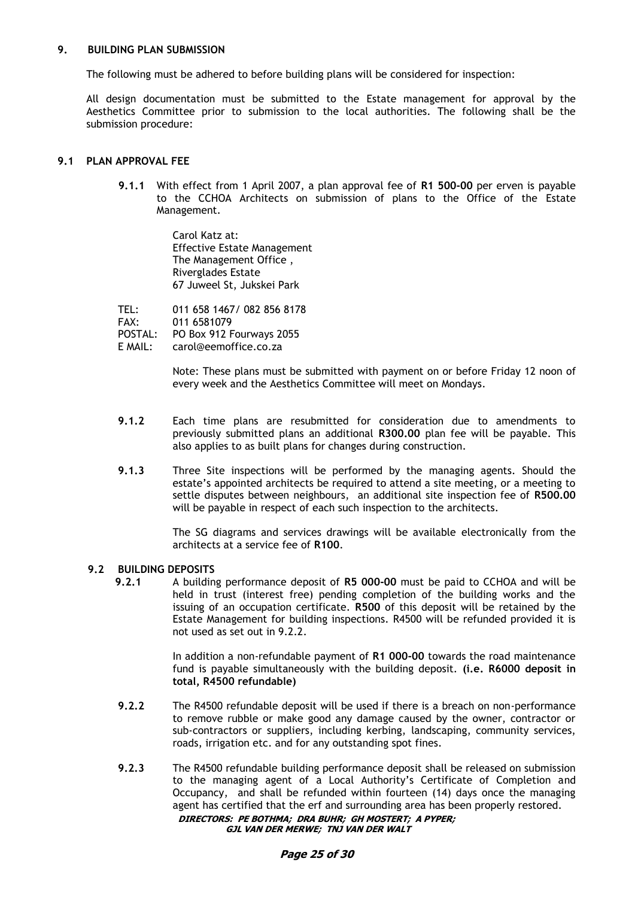### **9. BUILDING PLAN SUBMISSION**

The following must be adhered to before building plans will be considered for inspection:

All design documentation must be submitted to the Estate management for approval by the Aesthetics Committee prior to submission to the local authorities. The following shall be the submission procedure:

# **9.1 PLAN APPROVAL FEE**

**9.1.1** With effect from 1 April 2007, a plan approval fee of **R1 500-00** per erven is payable to the CCHOA Architects on submission of plans to the Office of the Estate Management.

> Carol Katz at: Effective Estate Management The Management Office , Riverglades Estate 67 Juweel St, Jukskei Park

TEL: 011 658 1467/ 082 856 8178<br>FAX: 011 6581079 FAX: 011 6581079 PO Box 912 Fourways 2055 E MAIL: carol@eemoffice.co.za

> Note: These plans must be submitted with payment on or before Friday 12 noon of every week and the Aesthetics Committee will meet on Mondays.

- **9.1.2** Each time plans are resubmitted for consideration due to amendments to previously submitted plans an additional **R300.00** plan fee will be payable. This also applies to as built plans for changes during construction.
- **9.1.3** Three Site inspections will be performed by the managing agents. Should the estate's appointed architects be required to attend a site meeting, or a meeting to settle disputes between neighbours, an additional site inspection fee of **R500.00** will be payable in respect of each such inspection to the architects.

The SG diagrams and services drawings will be available electronically from the architects at a service fee of **R100**.

### **9.2 BUILDING DEPOSITS**

**9.2.1** A building performance deposit of **R5 000-00** must be paid to CCHOA and will be held in trust (interest free) pending completion of the building works and the issuing of an occupation certificate. **R500** of this deposit will be retained by the Estate Management for building inspections. R4500 will be refunded provided it is not used as set out in 9.2.2.

> In addition a non-refundable payment of **R1 000-00** towards the road maintenance fund is payable simultaneously with the building deposit. **(i.e. R6000 deposit in total, R4500 refundable)**

- **9.2.2** The R4500 refundable deposit will be used if there is a breach on non-performance to remove rubble or make good any damage caused by the owner, contractor or sub-contractors or suppliers, including kerbing, landscaping, community services, roads, irrigation etc. and for any outstanding spot fines.
- **DIRECTORS: PE BOTHMA; DRA BUHR; GH MOSTERT; A PYPER; GJL VAN DER MERWE; TNJ VAN DER WALT 9.2.3** The R4500 refundable building performance deposit shall be released on submission to the managing agent of a Local Authority's Certificate of Completion and Occupancy, and shall be refunded within fourteen (14) days once the managing agent has certified that the erf and surrounding area has been properly restored.

**Page 25 of 30**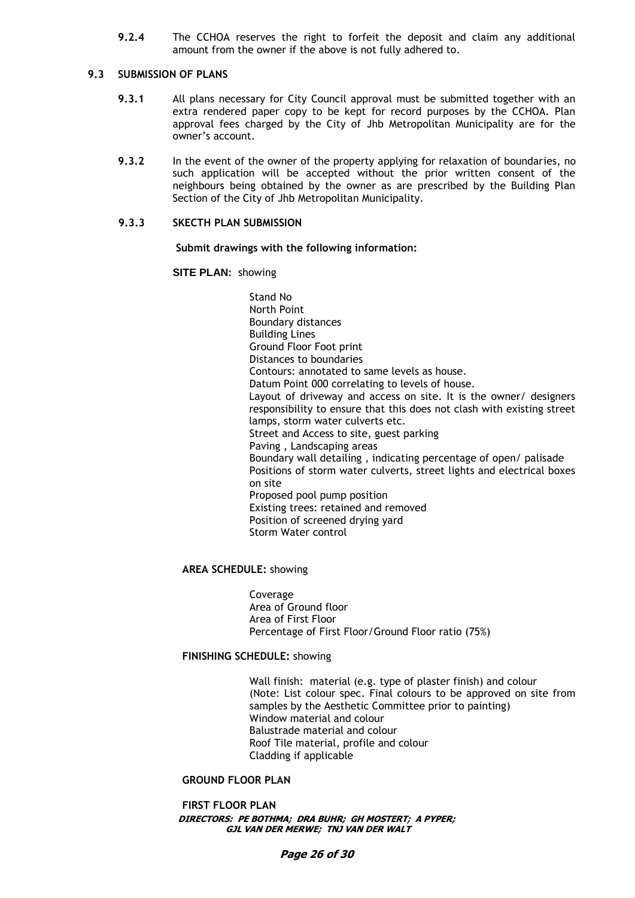**9.2.4** The CCHOA reserves the right to forfeit the deposit and claim any additional amount from the owner if the above is not fully adhered to.

#### **9.3 SUBMISSION OF PLANS**

- **9.3.1** All plans necessary for City Council approval must be submitted together with an extra rendered paper copy to be kept for record purposes by the CCHOA. Plan approval fees charged by the City of Jhb Metropolitan Municipality are for the owner's account.
- **9.3.2** In the event of the owner of the property applying for relaxation of boundaries, no such application will be accepted without the prior written consent of the neighbours being obtained by the owner as are prescribed by the Building Plan Section of the City of Jhb Metropolitan Municipality.

#### **9.3.3 SKECTH PLAN SUBMISSION**

**Submit drawings with the following information:**

**SITE PLAN:** showing

Stand No North Point Boundary distances Building Lines Ground Floor Foot print Distances to boundaries Contours: annotated to same levels as house. Datum Point 000 correlating to levels of house. Layout of driveway and access on site. It is the owner/ designers responsibility to ensure that this does not clash with existing street lamps, storm water culverts etc. Street and Access to site, guest parking Paving , Landscaping areas Boundary wall detailing , indicating percentage of open/ palisade Positions of storm water culverts, street lights and electrical boxes on site Proposed pool pump position Existing trees: retained and removed Position of screened drying yard Storm Water control

### **AREA SCHEDULE:** showing

Coverage Area of Ground floor Area of First Floor Percentage of First Floor/Ground Floor ratio (75%)

#### **FINISHING SCHEDULE:** showing

Wall finish: material (e.g. type of plaster finish) and colour (Note: List colour spec. Final colours to be approved on site from samples by the Aesthetic Committee prior to painting) Window material and colour Balustrade material and colour Roof Tile material, profile and colour Cladding if applicable

#### **GROUND FLOOR PLAN**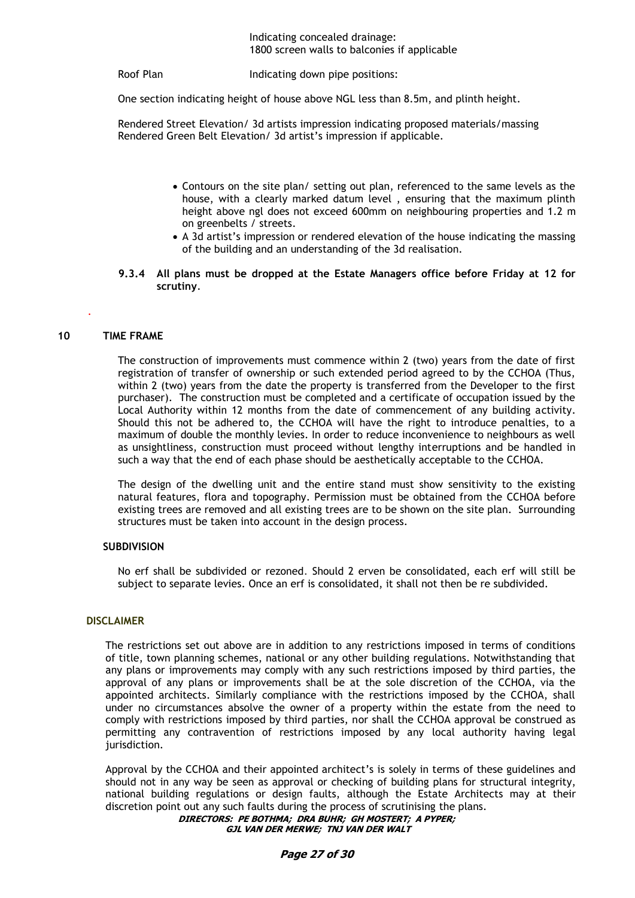#### Indicating concealed drainage: 1800 screen walls to balconies if applicable

Roof Plan Indicating down pipe positions:

One section indicating height of house above NGL less than 8.5m, and plinth height.

Rendered Street Elevation/ 3d artists impression indicating proposed materials/massing Rendered Green Belt Elevation/ 3d artist's impression if applicable.

- Contours on the site plan/ setting out plan, referenced to the same levels as the house, with a clearly marked datum level , ensuring that the maximum plinth height above ngl does not exceed 600mm on neighbouring properties and 1.2 m on greenbelts / streets.
- A 3d artist's impression or rendered elevation of the house indicating the massing of the building and an understanding of the 3d realisation.
- **9.3.4 All plans must be dropped at the Estate Managers office before Friday at 12 for scrutiny**.

#### **10 TIME FRAME**

.

The construction of improvements must commence within 2 (two) years from the date of first registration of transfer of ownership or such extended period agreed to by the CCHOA (Thus, within 2 (two) years from the date the property is transferred from the Developer to the first purchaser). The construction must be completed and a certificate of occupation issued by the Local Authority within 12 months from the date of commencement of any building activity. Should this not be adhered to, the CCHOA will have the right to introduce penalties, to a maximum of double the monthly levies. In order to reduce inconvenience to neighbours as well as unsightliness, construction must proceed without lengthy interruptions and be handled in such a way that the end of each phase should be aesthetically acceptable to the CCHOA.

The design of the dwelling unit and the entire stand must show sensitivity to the existing natural features, flora and topography. Permission must be obtained from the CCHOA before existing trees are removed and all existing trees are to be shown on the site plan. Surrounding structures must be taken into account in the design process.

### **SUBDIVISION**

No erf shall be subdivided or rezoned. Should 2 erven be consolidated, each erf will still be subject to separate levies. Once an erf is consolidated, it shall not then be re subdivided.

#### **DISCLAIMER**

The restrictions set out above are in addition to any restrictions imposed in terms of conditions of title, town planning schemes, national or any other building regulations. Notwithstanding that any plans or improvements may comply with any such restrictions imposed by third parties, the approval of any plans or improvements shall be at the sole discretion of the CCHOA, via the appointed architects. Similarly compliance with the restrictions imposed by the CCHOA, shall under no circumstances absolve the owner of a property within the estate from the need to comply with restrictions imposed by third parties, nor shall the CCHOA approval be construed as permitting any contravention of restrictions imposed by any local authority having legal jurisdiction.

Approval by the CCHOA and their appointed architect's is solely in terms of these guidelines and should not in any way be seen as approval or checking of building plans for structural integrity, national building regulations or design faults, although the Estate Architects may at their discretion point out any such faults during the process of scrutinising the plans.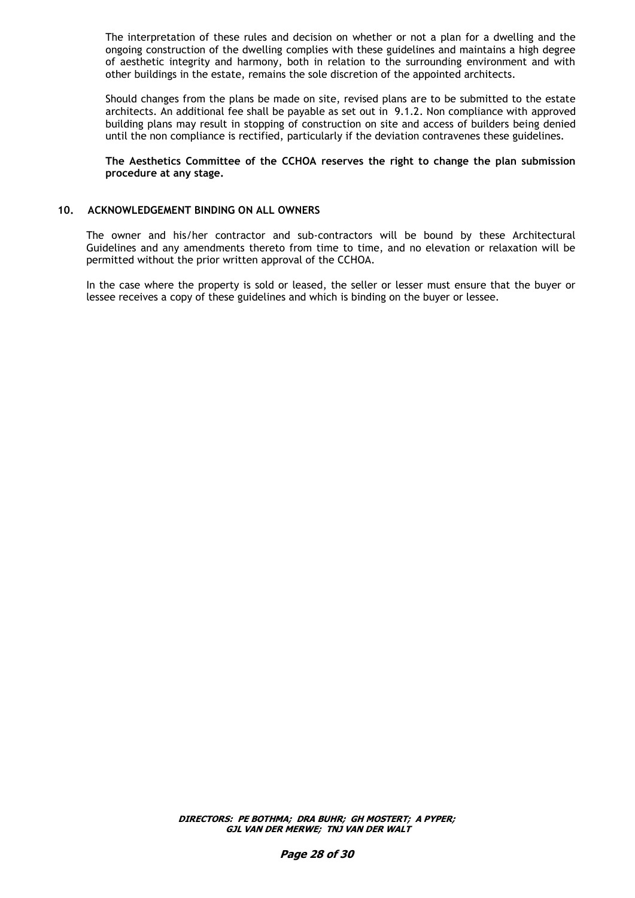The interpretation of these rules and decision on whether or not a plan for a dwelling and the ongoing construction of the dwelling complies with these guidelines and maintains a high degree of aesthetic integrity and harmony, both in relation to the surrounding environment and with other buildings in the estate, remains the sole discretion of the appointed architects.

Should changes from the plans be made on site, revised plans are to be submitted to the estate architects. An additional fee shall be payable as set out in 9.1.2. Non compliance with approved building plans may result in stopping of construction on site and access of builders being denied until the non compliance is rectified, particularly if the deviation contravenes these guidelines.

#### **The Aesthetics Committee of the CCHOA reserves the right to change the plan submission procedure at any stage.**

# **10. ACKNOWLEDGEMENT BINDING ON ALL OWNERS**

The owner and his/her contractor and sub-contractors will be bound by these Architectural Guidelines and any amendments thereto from time to time, and no elevation or relaxation will be permitted without the prior written approval of the CCHOA.

In the case where the property is sold or leased, the seller or lesser must ensure that the buyer or lessee receives a copy of these guidelines and which is binding on the buyer or lessee.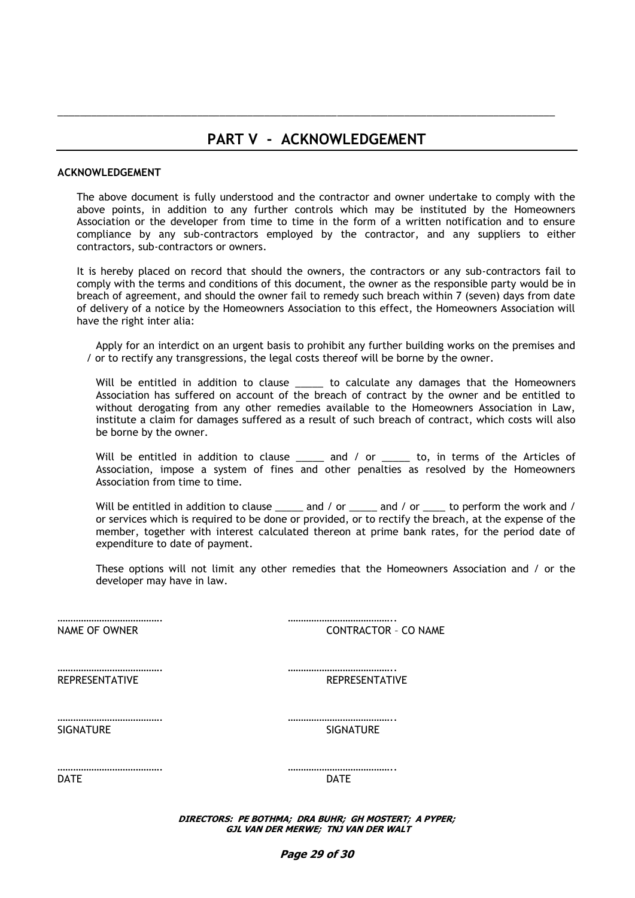# **PART V - ACKNOWLEDGEMENT**

\_\_\_\_\_\_\_\_\_\_\_\_\_\_\_\_\_\_\_\_\_\_\_\_\_\_\_\_\_\_\_\_\_\_\_\_\_\_\_\_\_\_\_\_\_\_\_\_\_\_\_\_\_\_\_\_\_\_\_\_\_\_\_\_\_\_\_\_\_\_\_\_\_\_\_\_\_\_\_\_\_\_\_\_\_\_\_\_\_

### **ACKNOWLEDGEMENT**

The above document is fully understood and the contractor and owner undertake to comply with the above points, in addition to any further controls which may be instituted by the Homeowners Association or the developer from time to time in the form of a written notification and to ensure compliance by any sub-contractors employed by the contractor, and any suppliers to either contractors, sub-contractors or owners.

It is hereby placed on record that should the owners, the contractors or any sub-contractors fail to comply with the terms and conditions of this document, the owner as the responsible party would be in breach of agreement, and should the owner fail to remedy such breach within 7 (seven) days from date of delivery of a notice by the Homeowners Association to this effect, the Homeowners Association will have the right inter alia:

Apply for an interdict on an urgent basis to prohibit any further building works on the premises and / or to rectify any transgressions, the legal costs thereof will be borne by the owner.

Will be entitled in addition to clause \_\_\_\_\_ to calculate any damages that the Homeowners Association has suffered on account of the breach of contract by the owner and be entitled to without derogating from any other remedies available to the Homeowners Association in Law, institute a claim for damages suffered as a result of such breach of contract, which costs will also be borne by the owner.

Will be entitled in addition to clause \_\_\_\_\_ and / or \_\_\_\_\_ to, in terms of the Articles of Association, impose a system of fines and other penalties as resolved by the Homeowners Association from time to time.

Will be entitled in addition to clause \_\_\_\_\_ and / or \_\_\_\_\_ and / or \_\_\_\_ to perform the work and / or services which is required to be done or provided, or to rectify the breach, at the expense of the member, together with interest calculated thereon at prime bank rates, for the period date of expenditure to date of payment.

These options will not limit any other remedies that the Homeowners Association and / or the developer may have in law.

…………………………………. ………………………………….. NAME OF OWNER CONTRACTOR - CO NAME

REPRESENTATIVE REPRESENTATIVE

…………………………………. …………………………………..

SIGNATURE SIGNATURE SIGNATURE

DATE DATE

…………………………………. …………………………………..

**DIRECTORS: PE BOTHMA; DRA BUHR; GH MOSTERT; A PYPER; GJL VAN DER MERWE; TNJ VAN DER WALT**

…………………………………. …………………………………..